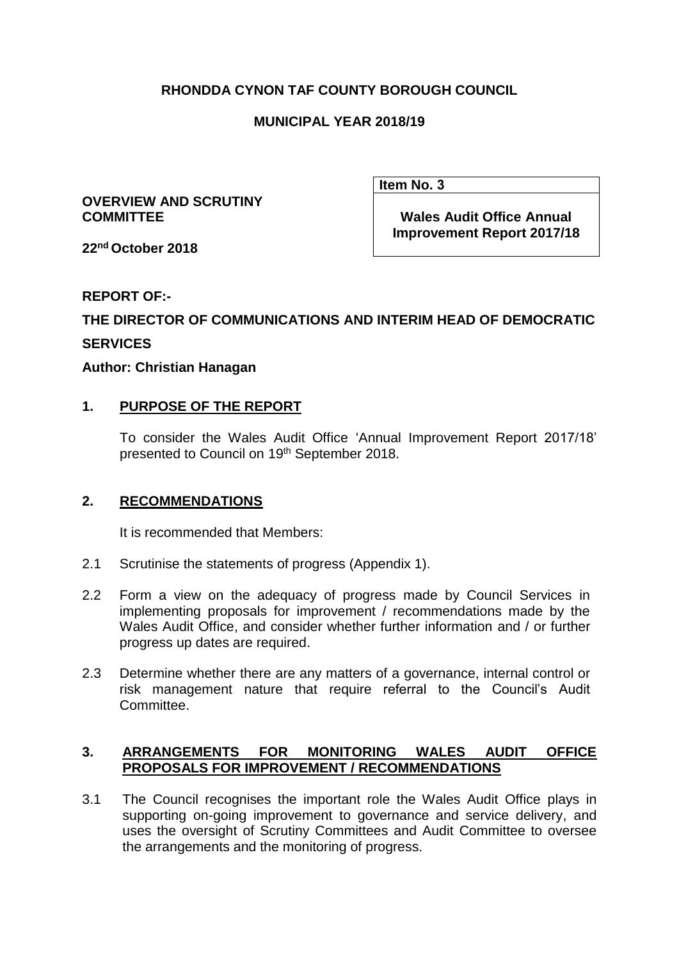# **RHONDDA CYNON TAF COUNTY BOROUGH COUNCIL**

### **MUNICIPAL YEAR 2018/19**

#### **OVERVIEW AND SCRUTINY COMMITTEE**

**Item No. 3**

**Wales Audit Office Annual Improvement Report 2017/18** 

**22nd October 2018**

### **REPORT OF:-**

# **THE DIRECTOR OF COMMUNICATIONS AND INTERIM HEAD OF DEMOCRATIC SERVICES**

### **Author: Christian Hanagan**

# **1. PURPOSE OF THE REPORT**

To consider the Wales Audit Office 'Annual Improvement Report 2017/18' presented to Council on 19<sup>th</sup> September 2018.

### **2. RECOMMENDATIONS**

It is recommended that Members:

- 2.1 Scrutinise the statements of progress (Appendix 1).
- 2.2 Form a view on the adequacy of progress made by Council Services in implementing proposals for improvement / recommendations made by the Wales Audit Office, and consider whether further information and / or further progress up dates are required.
- 2.3 Determine whether there are any matters of a governance, internal control or risk management nature that require referral to the Council's Audit Committee.

### **3. ARRANGEMENTS FOR MONITORING WALES AUDIT OFFICE PROPOSALS FOR IMPROVEMENT / RECOMMENDATIONS**

3.1 The Council recognises the important role the Wales Audit Office plays in supporting on-going improvement to governance and service delivery, and uses the oversight of Scrutiny Committees and Audit Committee to oversee the arrangements and the monitoring of progress.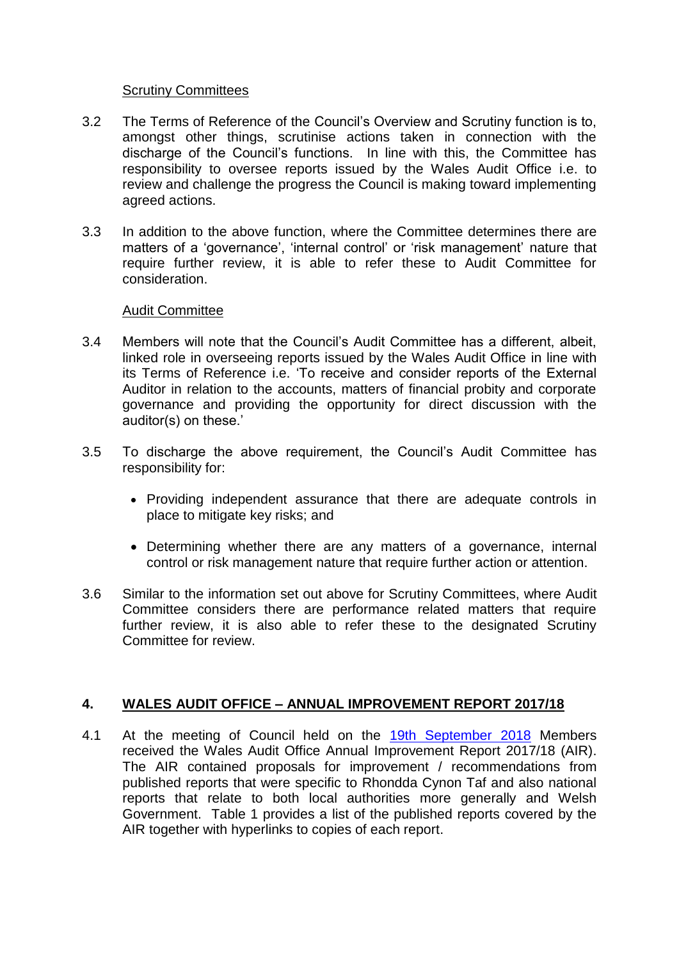### Scrutiny Committees

- 3.2 The Terms of Reference of the Council's Overview and Scrutiny function is to, amongst other things, scrutinise actions taken in connection with the discharge of the Council's functions. In line with this, the Committee has responsibility to oversee reports issued by the Wales Audit Office i.e. to review and challenge the progress the Council is making toward implementing agreed actions.
- 3.3 In addition to the above function, where the Committee determines there are matters of a 'governance', 'internal control' or 'risk management' nature that require further review, it is able to refer these to Audit Committee for consideration.

### Audit Committee

- 3.4 Members will note that the Council's Audit Committee has a different, albeit, linked role in overseeing reports issued by the Wales Audit Office in line with its Terms of Reference i.e. 'To receive and consider reports of the External Auditor in relation to the accounts, matters of financial probity and corporate governance and providing the opportunity for direct discussion with the auditor(s) on these.'
- 3.5 To discharge the above requirement, the Council's Audit Committee has responsibility for:
	- Providing independent assurance that there are adequate controls in place to mitigate key risks; and
	- Determining whether there are any matters of a governance, internal control or risk management nature that require further action or attention.
- 3.6 Similar to the information set out above for Scrutiny Committees, where Audit Committee considers there are performance related matters that require further review, it is also able to refer these to the designated Scrutiny Committee for review.

### **4. WALES AUDIT OFFICE – ANNUAL IMPROVEMENT REPORT 2017/18**

4.1 At the meeting of Council held on the [19th September 2018](https://www.rctcbc.gov.uk/EN/Council/CouncillorsCommitteesandMeetings/Meetings/Council/2018/09/19/Reports/AgendaItem7AnnualImprovementPlan.pdf) Members received the Wales Audit Office Annual Improvement Report 2017/18 (AIR). The AIR contained proposals for improvement / recommendations from published reports that were specific to Rhondda Cynon Taf and also national reports that relate to both local authorities more generally and Welsh Government. Table 1 provides a list of the published reports covered by the AIR together with hyperlinks to copies of each report.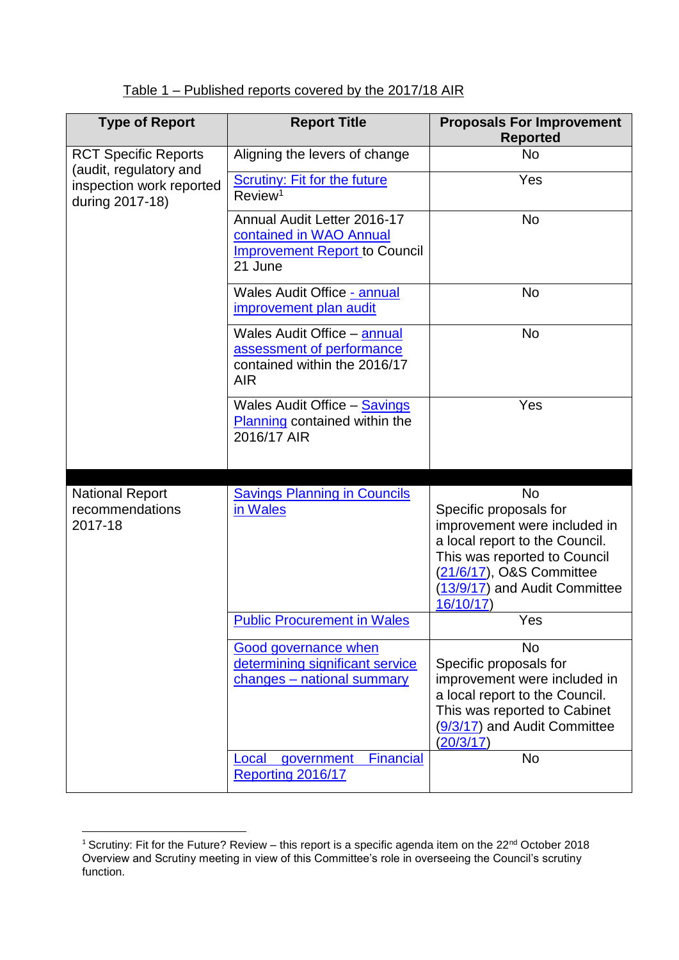# Table 1 – Published reports covered by the 2017/18 AIR

| <b>Type of Report</b>                                                 | <b>Report Title</b>                                                                                           | <b>Proposals For Improvement</b><br><b>Reported</b>                                                                                                                                                            |
|-----------------------------------------------------------------------|---------------------------------------------------------------------------------------------------------------|----------------------------------------------------------------------------------------------------------------------------------------------------------------------------------------------------------------|
| <b>RCT Specific Reports</b>                                           | Aligning the levers of change                                                                                 | <b>No</b>                                                                                                                                                                                                      |
| (audit, regulatory and<br>inspection work reported<br>during 2017-18) | <b>Scrutiny: Fit for the future</b><br>Review <sup>1</sup>                                                    | Yes                                                                                                                                                                                                            |
|                                                                       | Annual Audit Letter 2016-17<br>contained in WAO Annual<br><b>Improvement Report to Council</b><br>21 June     | <b>No</b>                                                                                                                                                                                                      |
|                                                                       | Wales Audit Office - annual<br>improvement plan audit                                                         | <b>No</b>                                                                                                                                                                                                      |
|                                                                       | <b>Wales Audit Office - annual</b><br>assessment of performance<br>contained within the 2016/17<br><b>AIR</b> | No                                                                                                                                                                                                             |
|                                                                       | <b>Wales Audit Office - Savings</b><br>Planning contained within the<br>2016/17 AIR                           | Yes                                                                                                                                                                                                            |
| <b>National Report</b><br>recommendations<br>2017-18                  | <b>Savings Planning in Councils</b><br>in Wales                                                               | <b>No</b><br>Specific proposals for<br>improvement were included in<br>a local report to the Council.<br>This was reported to Council<br>(21/6/17), O&S Committee<br>(13/9/17) and Audit Committee<br>16/10/17 |
|                                                                       | <b>Public Procurement in Wales</b>                                                                            | Yes                                                                                                                                                                                                            |
|                                                                       | <b>Good governance when</b><br>determining significant service<br>changes - national summary                  | <b>No</b><br>Specific proposals for<br>improvement were included in<br>a local report to the Council.<br>This was reported to Cabinet<br>(9/3/17) and Audit Committee<br>(20/3/17)                             |
|                                                                       | <b>Financial</b><br>Local<br>government<br>Reporting 2016/17                                                  | <b>No</b>                                                                                                                                                                                                      |

**<sup>.</sup>** <sup>1</sup> Scrutiny: Fit for the Future? Review – this report is a specific agenda item on the 22<sup>nd</sup> October 2018 Overview and Scrutiny meeting in view of this Committee's role in overseeing the Council's scrutiny function.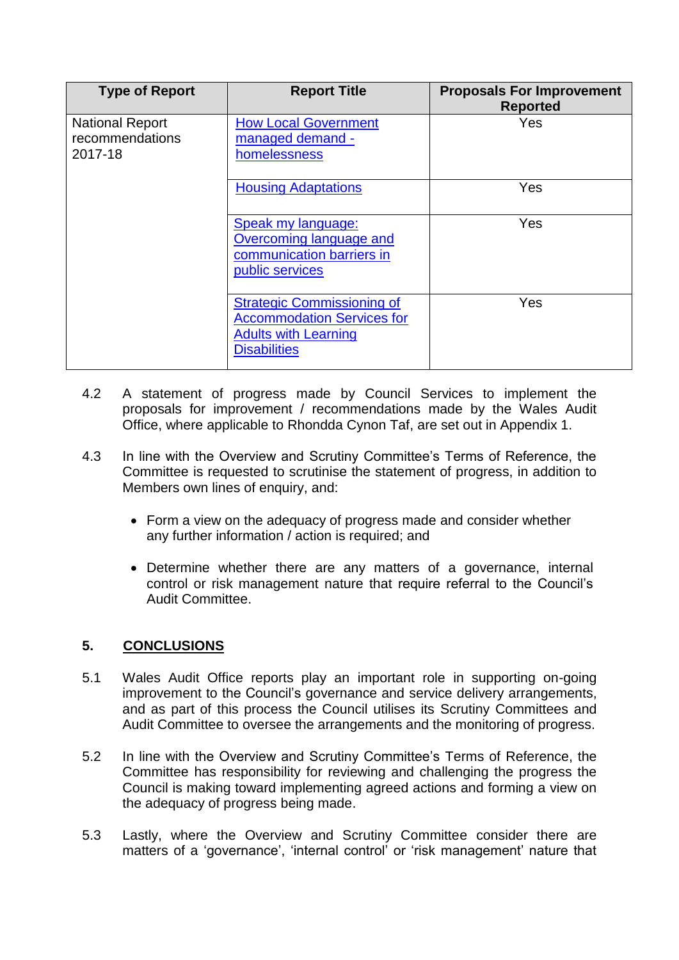| <b>Type of Report</b>                                | <b>Report Title</b>                                                                                                          | <b>Proposals For Improvement</b><br><b>Reported</b> |
|------------------------------------------------------|------------------------------------------------------------------------------------------------------------------------------|-----------------------------------------------------|
| <b>National Report</b><br>recommendations<br>2017-18 | <b>How Local Government</b><br>managed demand -<br>homelessness                                                              | Yes                                                 |
|                                                      | <b>Housing Adaptations</b>                                                                                                   | Yes                                                 |
|                                                      | Speak my language:<br>Overcoming language and<br>communication barriers in<br>public services                                | Yes                                                 |
|                                                      | <b>Strategic Commissioning of</b><br><b>Accommodation Services for</b><br><b>Adults with Learning</b><br><b>Disabilities</b> | Yes                                                 |

- 4.2 A statement of progress made by Council Services to implement the proposals for improvement / recommendations made by the Wales Audit Office, where applicable to Rhondda Cynon Taf, are set out in Appendix 1.
- 4.3 In line with the Overview and Scrutiny Committee's Terms of Reference, the Committee is requested to scrutinise the statement of progress, in addition to Members own lines of enquiry, and:
	- Form a view on the adequacy of progress made and consider whether any further information / action is required; and
	- Determine whether there are any matters of a governance, internal control or risk management nature that require referral to the Council's Audit Committee.

# **5. CONCLUSIONS**

- 5.1 Wales Audit Office reports play an important role in supporting on-going improvement to the Council's governance and service delivery arrangements, and as part of this process the Council utilises its Scrutiny Committees and Audit Committee to oversee the arrangements and the monitoring of progress.
- 5.2 In line with the Overview and Scrutiny Committee's Terms of Reference, the Committee has responsibility for reviewing and challenging the progress the Council is making toward implementing agreed actions and forming a view on the adequacy of progress being made.
- 5.3 Lastly, where the Overview and Scrutiny Committee consider there are matters of a 'governance', 'internal control' or 'risk management' nature that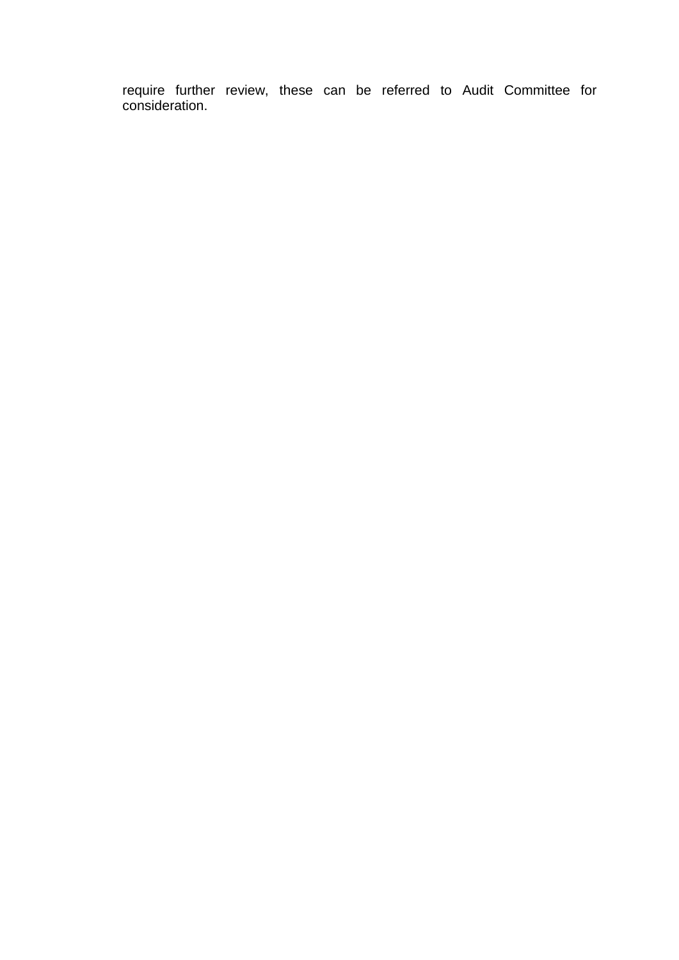require further review, these can be referred to Audit Committee for consideration.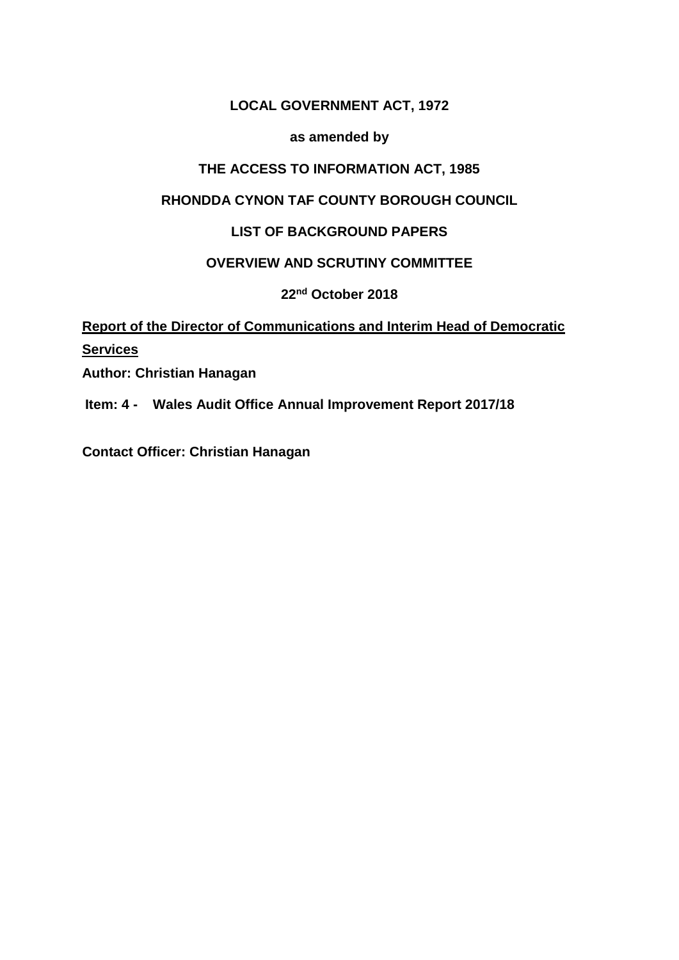# **LOCAL GOVERNMENT ACT, 1972**

### **as amended by**

### **THE ACCESS TO INFORMATION ACT, 1985**

### **RHONDDA CYNON TAF COUNTY BOROUGH COUNCIL**

## **LIST OF BACKGROUND PAPERS**

### **OVERVIEW AND SCRUTINY COMMITTEE**

**22nd October 2018**

# **Report of the Director of Communications and Interim Head of Democratic Services**

**Author: Christian Hanagan** 

**Item: 4 - Wales Audit Office Annual Improvement Report 2017/18**

**Contact Officer: Christian Hanagan**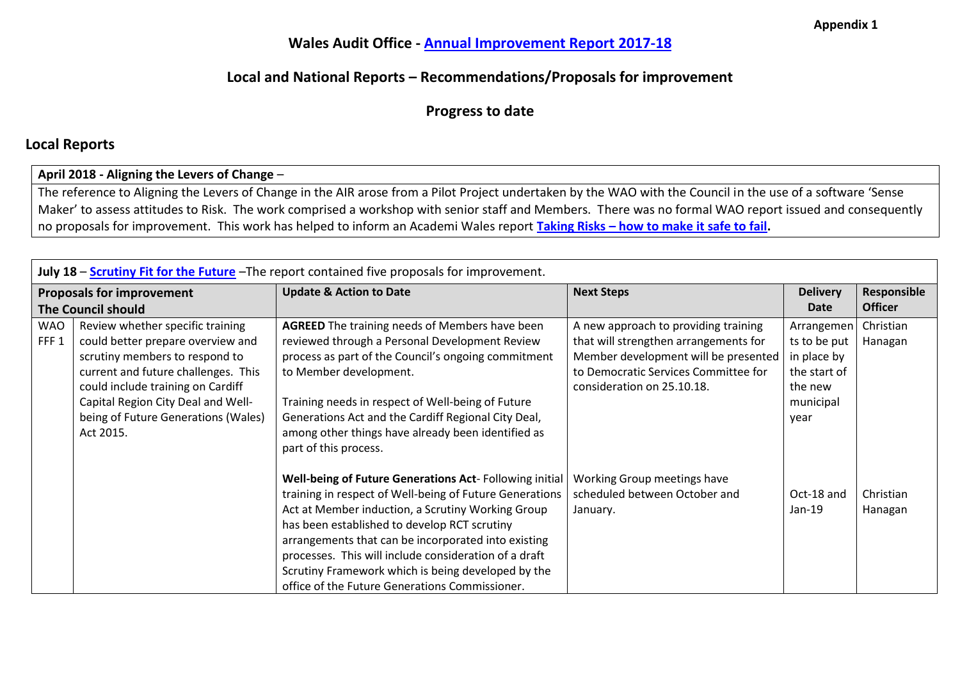# **Wales Audit Office - [Annual Improvement Report](https://www.rctcbc.gov.uk/EN/Council/CouncillorsCommitteesandMeetings/Meetings/Council/2018/09/19/Reports/AgendaItem7AnnualImprovementPlan.pdf) 2017-18**

# **Local and National Reports – Recommendations/Proposals for improvement**

**Progress to date**

### **Local Reports**

#### **April 2018 - Aligning the Levers of Change** –

The reference to Aligning the Levers of Change in the AIR arose from a Pilot Project undertaken by the WAO with the Council in the use of a software 'Sense Maker' to assess attitudes to Risk. The work comprised a workshop with senior staff and Members. There was no formal WAO report issued and consequently no proposals for improvement. This work has helped to inform an Academi Wales report **Taking Risks – [how to make it safe to fail.](https://s3-eu-west-1.amazonaws.com/academi-live-storage/7e/42/48/05/f98046e79f1bdc97245c21eb/32629Sowingseeds-Risk_Finaleng_WEB.pdf)** 

|                                | July 18 - Scrutiny Fit for the Future - The report contained five proposals for improvement.                                                                                                                                                                                  |                                                                                                                                                                                                                                                                                                                                                                                                                                                |                                                                                                                                                                                             |                                                                                           |                      |  |
|--------------------------------|-------------------------------------------------------------------------------------------------------------------------------------------------------------------------------------------------------------------------------------------------------------------------------|------------------------------------------------------------------------------------------------------------------------------------------------------------------------------------------------------------------------------------------------------------------------------------------------------------------------------------------------------------------------------------------------------------------------------------------------|---------------------------------------------------------------------------------------------------------------------------------------------------------------------------------------------|-------------------------------------------------------------------------------------------|----------------------|--|
|                                | <b>Proposals for improvement</b>                                                                                                                                                                                                                                              | <b>Update &amp; Action to Date</b>                                                                                                                                                                                                                                                                                                                                                                                                             | <b>Next Steps</b>                                                                                                                                                                           | <b>Delivery</b>                                                                           | Responsible          |  |
|                                | <b>The Council should</b>                                                                                                                                                                                                                                                     |                                                                                                                                                                                                                                                                                                                                                                                                                                                |                                                                                                                                                                                             | Date                                                                                      | <b>Officer</b>       |  |
| <b>WAO</b><br>FFF <sub>1</sub> | Review whether specific training<br>could better prepare overview and<br>scrutiny members to respond to<br>current and future challenges. This<br>could include training on Cardiff<br>Capital Region City Deal and Well-<br>being of Future Generations (Wales)<br>Act 2015. | <b>AGREED</b> The training needs of Members have been<br>reviewed through a Personal Development Review<br>process as part of the Council's ongoing commitment<br>to Member development.<br>Training needs in respect of Well-being of Future<br>Generations Act and the Cardiff Regional City Deal,<br>among other things have already been identified as<br>part of this process.                                                            | A new approach to providing training<br>that will strengthen arrangements for<br>Member development will be presented<br>to Democratic Services Committee for<br>consideration on 25.10.18. | Arrangemen<br>ts to be put<br>in place by<br>the start of<br>the new<br>municipal<br>vear | Christian<br>Hanagan |  |
|                                |                                                                                                                                                                                                                                                                               | Well-being of Future Generations Act-Following initial<br>training in respect of Well-being of Future Generations<br>Act at Member induction, a Scrutiny Working Group<br>has been established to develop RCT scrutiny<br>arrangements that can be incorporated into existing<br>processes. This will include consideration of a draft<br>Scrutiny Framework which is being developed by the<br>office of the Future Generations Commissioner. | Working Group meetings have<br>scheduled between October and<br>January.                                                                                                                    | Oct-18 and<br>$Jan-19$                                                                    | Christian<br>Hanagan |  |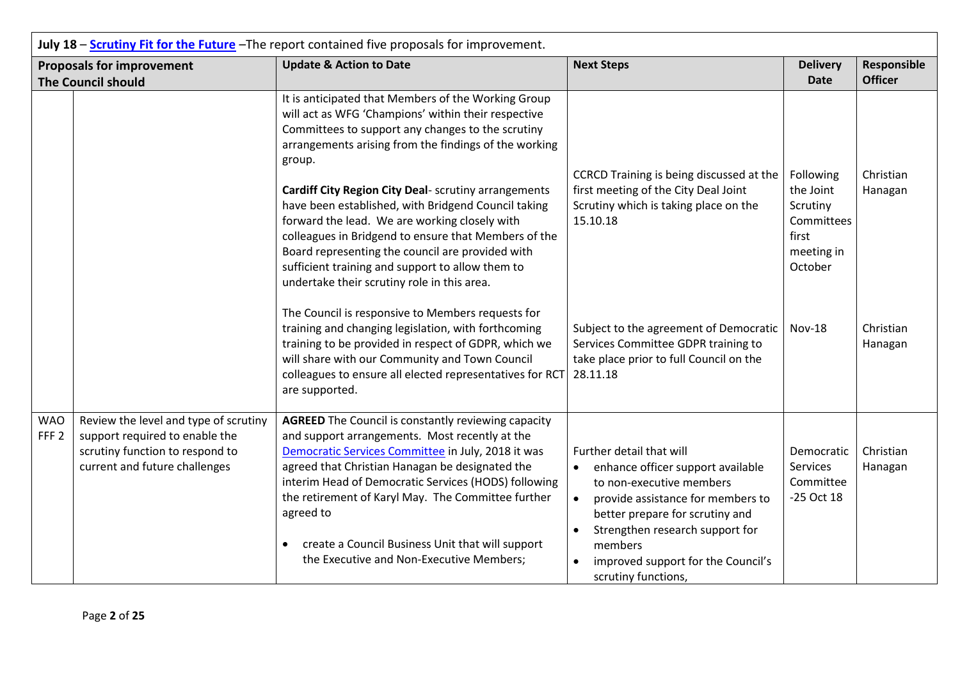|                                | July 18 - Scrutiny Fit for the Future - The report contained five proposals for improvement.                                                |                                                                                                                                                                                                                                                                                                                                                                                                                                                               |                                                                                                                                                                                                                                                                                                                     |                                                                       |                      |  |
|--------------------------------|---------------------------------------------------------------------------------------------------------------------------------------------|---------------------------------------------------------------------------------------------------------------------------------------------------------------------------------------------------------------------------------------------------------------------------------------------------------------------------------------------------------------------------------------------------------------------------------------------------------------|---------------------------------------------------------------------------------------------------------------------------------------------------------------------------------------------------------------------------------------------------------------------------------------------------------------------|-----------------------------------------------------------------------|----------------------|--|
|                                | <b>Proposals for improvement</b>                                                                                                            | <b>Update &amp; Action to Date</b>                                                                                                                                                                                                                                                                                                                                                                                                                            | <b>Next Steps</b>                                                                                                                                                                                                                                                                                                   | <b>Delivery</b>                                                       | Responsible          |  |
|                                | <b>The Council should</b>                                                                                                                   |                                                                                                                                                                                                                                                                                                                                                                                                                                                               |                                                                                                                                                                                                                                                                                                                     | <b>Date</b>                                                           | <b>Officer</b>       |  |
|                                |                                                                                                                                             | It is anticipated that Members of the Working Group<br>will act as WFG 'Champions' within their respective<br>Committees to support any changes to the scrutiny<br>arrangements arising from the findings of the working<br>group.                                                                                                                                                                                                                            | CCRCD Training is being discussed at the                                                                                                                                                                                                                                                                            | Following                                                             | Christian            |  |
|                                |                                                                                                                                             | <b>Cardiff City Region City Deal-</b> scrutiny arrangements<br>have been established, with Bridgend Council taking<br>forward the lead. We are working closely with<br>colleagues in Bridgend to ensure that Members of the<br>Board representing the council are provided with<br>sufficient training and support to allow them to<br>undertake their scrutiny role in this area.                                                                            | first meeting of the City Deal Joint<br>Scrutiny which is taking place on the<br>15.10.18                                                                                                                                                                                                                           | the Joint<br>Scrutiny<br>Committees<br>first<br>meeting in<br>October | Hanagan              |  |
|                                |                                                                                                                                             | The Council is responsive to Members requests for<br>training and changing legislation, with forthcoming<br>training to be provided in respect of GDPR, which we<br>will share with our Community and Town Council<br>colleagues to ensure all elected representatives for RCT<br>are supported.                                                                                                                                                              | Subject to the agreement of Democratic<br>Services Committee GDPR training to<br>take place prior to full Council on the<br>28.11.18                                                                                                                                                                                | <b>Nov-18</b>                                                         | Christian<br>Hanagan |  |
| <b>WAO</b><br>FFF <sub>2</sub> | Review the level and type of scrutiny<br>support required to enable the<br>scrutiny function to respond to<br>current and future challenges | <b>AGREED</b> The Council is constantly reviewing capacity<br>and support arrangements. Most recently at the<br>Democratic Services Committee in July, 2018 it was<br>agreed that Christian Hanagan be designated the<br>interim Head of Democratic Services (HODS) following<br>the retirement of Karyl May. The Committee further<br>agreed to<br>create a Council Business Unit that will support<br>$\bullet$<br>the Executive and Non-Executive Members; | Further detail that will<br>enhance officer support available<br>$\bullet$<br>to non-executive members<br>provide assistance for members to<br>$\bullet$<br>better prepare for scrutiny and<br>Strengthen research support for<br>$\bullet$<br>members<br>improved support for the Council's<br>scrutiny functions, | Democratic<br>Services<br>Committee<br>-25 Oct 18                     | Christian<br>Hanagan |  |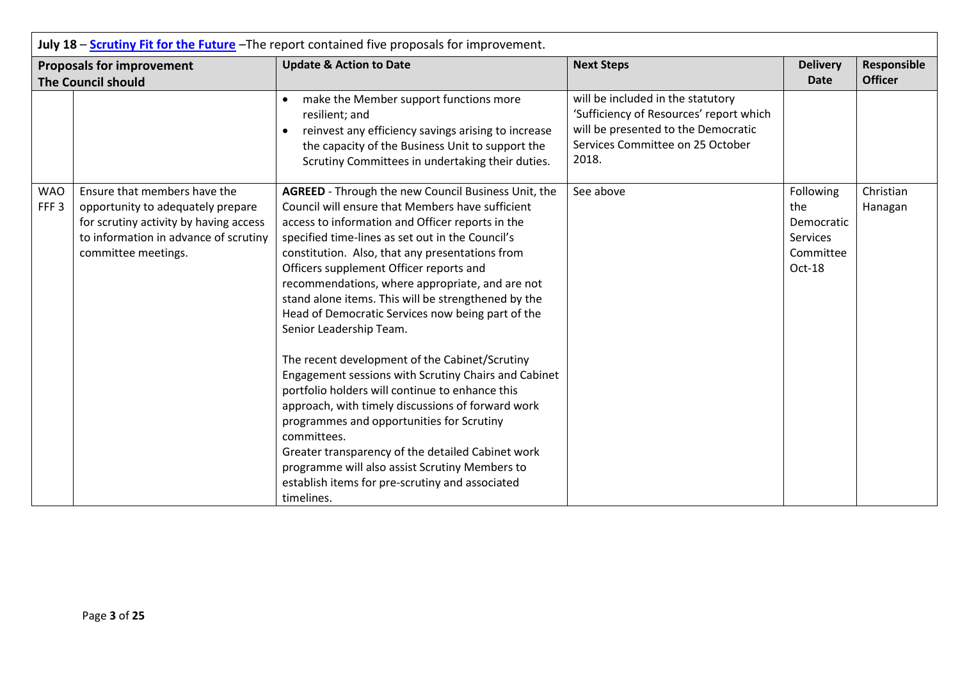| July 18 - Scrutiny Fit for the Future - The report contained five proposals for improvement. |                                                                                                                                                                             |                                                                                                                                                                                                                                                                                                                                                                                                                                                                                                                                                                                                                                                                                                                                                                                                                                                                                                                                                               |                                                                                                                                                                  |                                                                   |                               |
|----------------------------------------------------------------------------------------------|-----------------------------------------------------------------------------------------------------------------------------------------------------------------------------|---------------------------------------------------------------------------------------------------------------------------------------------------------------------------------------------------------------------------------------------------------------------------------------------------------------------------------------------------------------------------------------------------------------------------------------------------------------------------------------------------------------------------------------------------------------------------------------------------------------------------------------------------------------------------------------------------------------------------------------------------------------------------------------------------------------------------------------------------------------------------------------------------------------------------------------------------------------|------------------------------------------------------------------------------------------------------------------------------------------------------------------|-------------------------------------------------------------------|-------------------------------|
|                                                                                              | <b>Proposals for improvement</b><br><b>The Council should</b>                                                                                                               | <b>Update &amp; Action to Date</b>                                                                                                                                                                                                                                                                                                                                                                                                                                                                                                                                                                                                                                                                                                                                                                                                                                                                                                                            | <b>Next Steps</b>                                                                                                                                                | <b>Delivery</b><br><b>Date</b>                                    | Responsible<br><b>Officer</b> |
|                                                                                              |                                                                                                                                                                             | make the Member support functions more<br>resilient; and<br>reinvest any efficiency savings arising to increase<br>the capacity of the Business Unit to support the<br>Scrutiny Committees in undertaking their duties.                                                                                                                                                                                                                                                                                                                                                                                                                                                                                                                                                                                                                                                                                                                                       | will be included in the statutory<br>'Sufficiency of Resources' report which<br>will be presented to the Democratic<br>Services Committee on 25 October<br>2018. |                                                                   |                               |
| <b>WAO</b><br>FFF <sub>3</sub>                                                               | Ensure that members have the<br>opportunity to adequately prepare<br>for scrutiny activity by having access<br>to information in advance of scrutiny<br>committee meetings. | AGREED - Through the new Council Business Unit, the<br>Council will ensure that Members have sufficient<br>access to information and Officer reports in the<br>specified time-lines as set out in the Council's<br>constitution. Also, that any presentations from<br>Officers supplement Officer reports and<br>recommendations, where appropriate, and are not<br>stand alone items. This will be strengthened by the<br>Head of Democratic Services now being part of the<br>Senior Leadership Team.<br>The recent development of the Cabinet/Scrutiny<br>Engagement sessions with Scrutiny Chairs and Cabinet<br>portfolio holders will continue to enhance this<br>approach, with timely discussions of forward work<br>programmes and opportunities for Scrutiny<br>committees.<br>Greater transparency of the detailed Cabinet work<br>programme will also assist Scrutiny Members to<br>establish items for pre-scrutiny and associated<br>timelines. | See above                                                                                                                                                        | Following<br>the<br>Democratic<br>Services<br>Committee<br>Oct-18 | Christian<br>Hanagan          |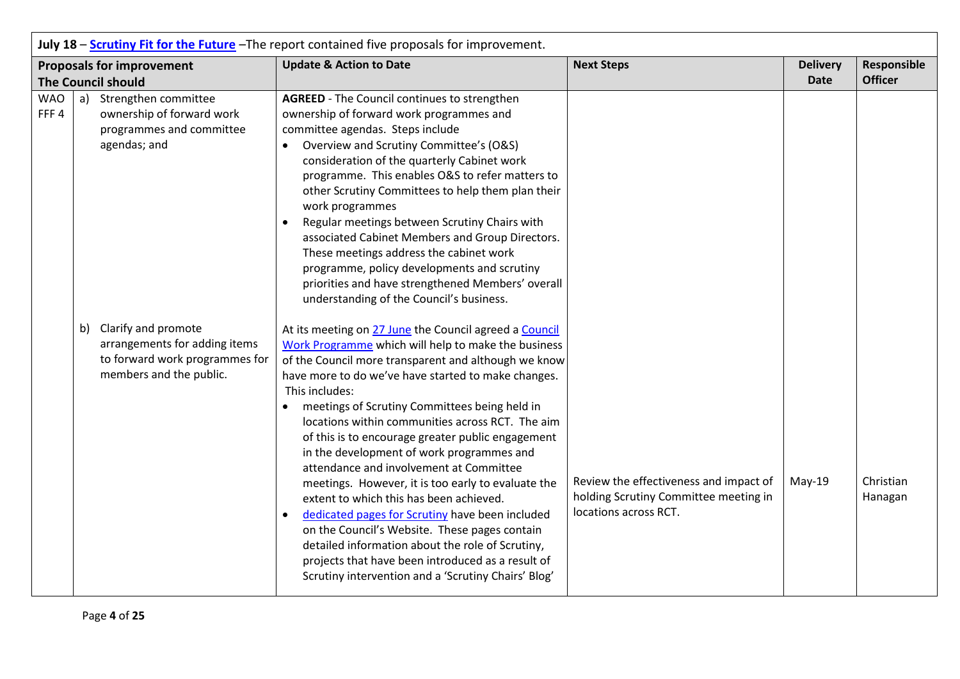|                    | July 18 - Scrutiny Fit for the Future - The report contained five proposals for improvement. |                                                                                                                      |                                                                                                                                                                                                                                                                                                                                                                                                                                                                                                                                                                                                                                                                                                                                                                                                                                                                                                 |                                                                                                          |                                |                               |
|--------------------|----------------------------------------------------------------------------------------------|----------------------------------------------------------------------------------------------------------------------|-------------------------------------------------------------------------------------------------------------------------------------------------------------------------------------------------------------------------------------------------------------------------------------------------------------------------------------------------------------------------------------------------------------------------------------------------------------------------------------------------------------------------------------------------------------------------------------------------------------------------------------------------------------------------------------------------------------------------------------------------------------------------------------------------------------------------------------------------------------------------------------------------|----------------------------------------------------------------------------------------------------------|--------------------------------|-------------------------------|
|                    |                                                                                              | <b>Proposals for improvement</b><br><b>The Council should</b>                                                        | <b>Update &amp; Action to Date</b>                                                                                                                                                                                                                                                                                                                                                                                                                                                                                                                                                                                                                                                                                                                                                                                                                                                              | <b>Next Steps</b>                                                                                        | <b>Delivery</b><br><b>Date</b> | Responsible<br><b>Officer</b> |
| <b>WAO</b><br>FFF4 |                                                                                              | a) Strengthen committee<br>ownership of forward work<br>programmes and committee<br>agendas; and                     | <b>AGREED</b> - The Council continues to strengthen<br>ownership of forward work programmes and<br>committee agendas. Steps include<br>Overview and Scrutiny Committee's (O&S)<br>$\bullet$<br>consideration of the quarterly Cabinet work<br>programme. This enables O&S to refer matters to<br>other Scrutiny Committees to help them plan their<br>work programmes<br>Regular meetings between Scrutiny Chairs with<br>$\bullet$<br>associated Cabinet Members and Group Directors.<br>These meetings address the cabinet work<br>programme, policy developments and scrutiny<br>priorities and have strengthened Members' overall<br>understanding of the Council's business.                                                                                                                                                                                                               |                                                                                                          |                                |                               |
|                    |                                                                                              | b) Clarify and promote<br>arrangements for adding items<br>to forward work programmes for<br>members and the public. | At its meeting on 27 June the Council agreed a Council<br>Work Programme which will help to make the business<br>of the Council more transparent and although we know<br>have more to do we've have started to make changes.<br>This includes:<br>meetings of Scrutiny Committees being held in<br>$\bullet$<br>locations within communities across RCT. The aim<br>of this is to encourage greater public engagement<br>in the development of work programmes and<br>attendance and involvement at Committee<br>meetings. However, it is too early to evaluate the<br>extent to which this has been achieved.<br>dedicated pages for Scrutiny have been included<br>$\bullet$<br>on the Council's Website. These pages contain<br>detailed information about the role of Scrutiny,<br>projects that have been introduced as a result of<br>Scrutiny intervention and a 'Scrutiny Chairs' Blog' | Review the effectiveness and impact of<br>holding Scrutiny Committee meeting in<br>locations across RCT. | May-19                         | Christian<br>Hanagan          |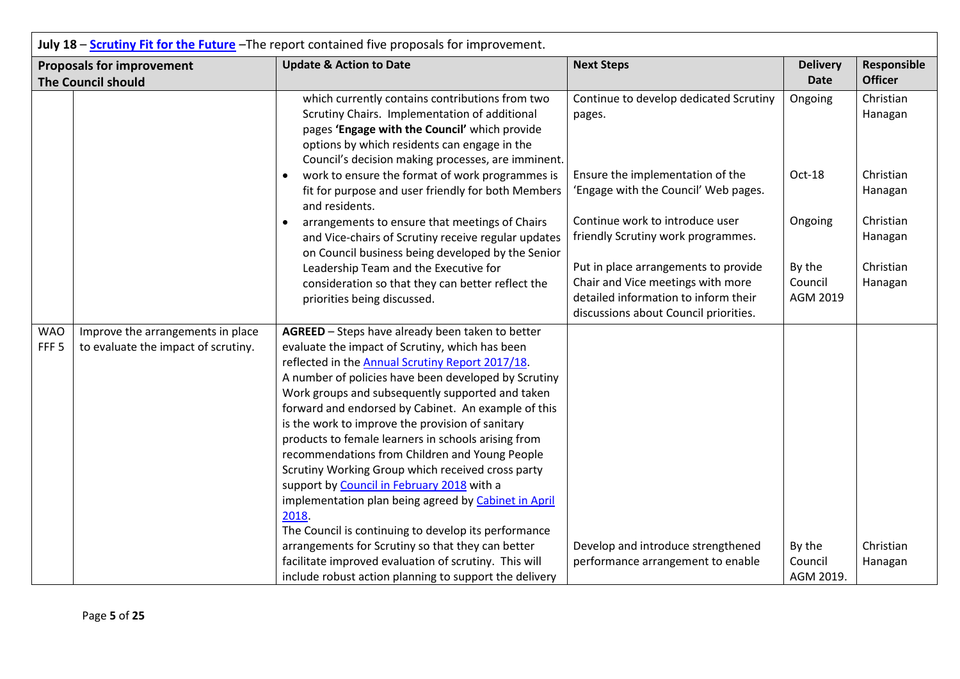|                                | July 18 - Scrutiny Fit for the Future - The report contained five proposals for improvement. |                                                                                                                                                                                                                                                                                                                                                                                                                                                                                                                                                                                            |                                                                       |                 |                      |
|--------------------------------|----------------------------------------------------------------------------------------------|--------------------------------------------------------------------------------------------------------------------------------------------------------------------------------------------------------------------------------------------------------------------------------------------------------------------------------------------------------------------------------------------------------------------------------------------------------------------------------------------------------------------------------------------------------------------------------------------|-----------------------------------------------------------------------|-----------------|----------------------|
|                                | <b>Proposals for improvement</b>                                                             | <b>Update &amp; Action to Date</b>                                                                                                                                                                                                                                                                                                                                                                                                                                                                                                                                                         | <b>Next Steps</b>                                                     | <b>Delivery</b> | Responsible          |
|                                | <b>The Council should</b>                                                                    |                                                                                                                                                                                                                                                                                                                                                                                                                                                                                                                                                                                            |                                                                       | <b>Date</b>     | <b>Officer</b>       |
|                                |                                                                                              | which currently contains contributions from two                                                                                                                                                                                                                                                                                                                                                                                                                                                                                                                                            | Continue to develop dedicated Scrutiny                                | Ongoing         | Christian            |
|                                |                                                                                              | Scrutiny Chairs. Implementation of additional<br>pages 'Engage with the Council' which provide<br>options by which residents can engage in the<br>Council's decision making processes, are imminent.                                                                                                                                                                                                                                                                                                                                                                                       | pages.                                                                |                 | Hanagan              |
|                                |                                                                                              | work to ensure the format of work programmes is<br>$\bullet$                                                                                                                                                                                                                                                                                                                                                                                                                                                                                                                               | Ensure the implementation of the                                      | Oct-18          | Christian            |
|                                |                                                                                              | fit for purpose and user friendly for both Members<br>and residents.                                                                                                                                                                                                                                                                                                                                                                                                                                                                                                                       | 'Engage with the Council' Web pages.                                  |                 | Hanagan              |
|                                |                                                                                              | arrangements to ensure that meetings of Chairs<br>$\bullet$<br>and Vice-chairs of Scrutiny receive regular updates                                                                                                                                                                                                                                                                                                                                                                                                                                                                         | Continue work to introduce user<br>friendly Scrutiny work programmes. | Ongoing         | Christian<br>Hanagan |
|                                |                                                                                              | on Council business being developed by the Senior<br>Leadership Team and the Executive for                                                                                                                                                                                                                                                                                                                                                                                                                                                                                                 | Put in place arrangements to provide                                  | By the          | Christian            |
|                                |                                                                                              | consideration so that they can better reflect the                                                                                                                                                                                                                                                                                                                                                                                                                                                                                                                                          | Chair and Vice meetings with more                                     | Council         | Hanagan              |
| priorities being discussed.    |                                                                                              | detailed information to inform their                                                                                                                                                                                                                                                                                                                                                                                                                                                                                                                                                       | AGM 2019                                                              |                 |                      |
|                                |                                                                                              |                                                                                                                                                                                                                                                                                                                                                                                                                                                                                                                                                                                            | discussions about Council priorities.                                 |                 |                      |
| <b>WAO</b><br>FFF <sub>5</sub> | Improve the arrangements in place<br>to evaluate the impact of scrutiny.                     | AGREED - Steps have already been taken to better<br>evaluate the impact of Scrutiny, which has been<br>reflected in the Annual Scrutiny Report 2017/18.<br>A number of policies have been developed by Scrutiny<br>Work groups and subsequently supported and taken<br>forward and endorsed by Cabinet. An example of this<br>is the work to improve the provision of sanitary<br>products to female learners in schools arising from<br>recommendations from Children and Young People<br>Scrutiny Working Group which received cross party<br>support by Council in February 2018 with a |                                                                       |                 |                      |
|                                |                                                                                              | implementation plan being agreed by Cabinet in April<br>2018.<br>The Council is continuing to develop its performance                                                                                                                                                                                                                                                                                                                                                                                                                                                                      |                                                                       |                 |                      |
|                                |                                                                                              | arrangements for Scrutiny so that they can better                                                                                                                                                                                                                                                                                                                                                                                                                                                                                                                                          | Develop and introduce strengthened                                    | By the          | Christian            |
|                                |                                                                                              | facilitate improved evaluation of scrutiny. This will                                                                                                                                                                                                                                                                                                                                                                                                                                                                                                                                      | performance arrangement to enable                                     | Council         | Hanagan              |
|                                |                                                                                              | include robust action planning to support the delivery                                                                                                                                                                                                                                                                                                                                                                                                                                                                                                                                     |                                                                       | AGM 2019.       |                      |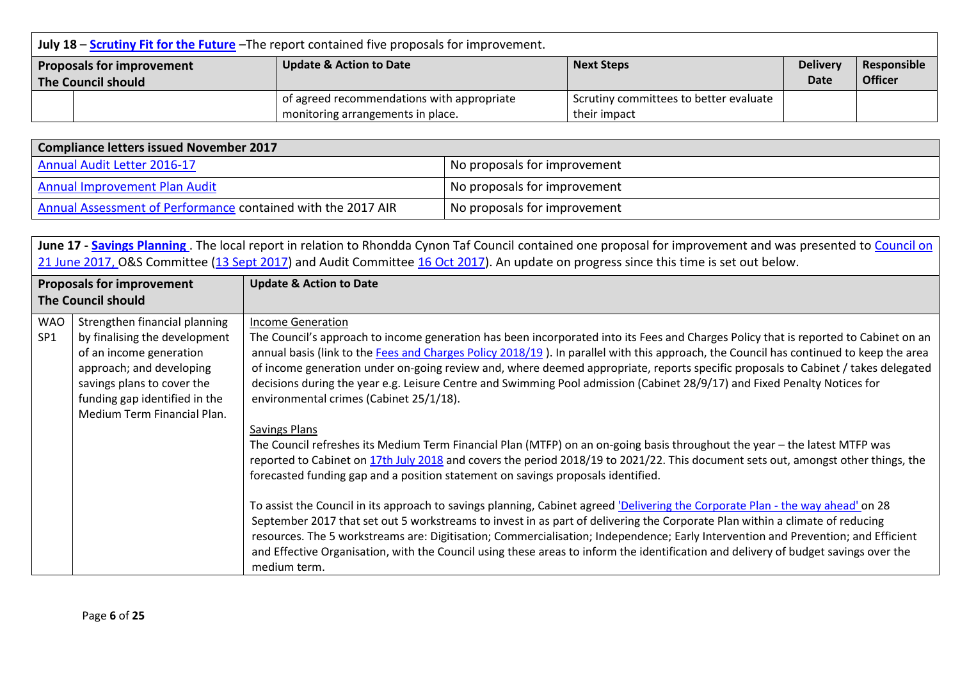|                                                                                                                | July 18 – Scrutiny Fit for the Future – The report contained five proposals for improvement. |                                            |                                        |      |                |  |
|----------------------------------------------------------------------------------------------------------------|----------------------------------------------------------------------------------------------|--------------------------------------------|----------------------------------------|------|----------------|--|
| <b>Update &amp; Action to Date</b><br><b>Delivery</b><br><b>Next Steps</b><br><b>Proposals for improvement</b> |                                                                                              |                                            | Responsible                            |      |                |  |
| The Council should                                                                                             |                                                                                              |                                            |                                        | Date | <b>Officer</b> |  |
|                                                                                                                |                                                                                              | of agreed recommendations with appropriate | Scrutiny committees to better evaluate |      |                |  |
|                                                                                                                | monitoring arrangements in place.<br>their impact                                            |                                            |                                        |      |                |  |

| <b>Compliance letters issued November 2017</b>               |                              |  |  |
|--------------------------------------------------------------|------------------------------|--|--|
| Annual Audit Letter 2016-17                                  | No proposals for improvement |  |  |
| Annual Improvement Plan Audit                                | No proposals for improvement |  |  |
| Annual Assessment of Performance contained with the 2017 AIR | No proposals for improvement |  |  |

June 17 - **Savings Planning**. The local report in relation to Rhondda Cynon Taf Council contained one proposal for improvement and was presented to *Council on* [21 June 2017,](https://www.rctcbc.gov.uk/EN/Council/CouncillorsCommitteesandMeetings/Meetings/Council/2017/06/21/Reports/AgendaItem7WalesAuditOfficeReports.pdf) O&S Committee (13 [Sept 2017\)](https://www.rctcbc.gov.uk/EN/Council/CouncillorsCommitteesandMeetings/Meetings/OverviewandScrutinyCommittee/2017/09/13/Reports/AgendaItem4WAOReportscoveringreportappendices.pdf) and Audit Committee 16 [Oct 2017\)](https://www.rctcbc.gov.uk/EN/Council/CouncillorsCommitteesandMeetings/Meetings/AuditCommittee/2017/10/16/Reports/Agendaitem4ReportsoftheWalesAuditOffice.pdf). An update on progress since this time is set out below.

| <b>Proposals for improvement</b><br><b>The Council should</b> |                                                                                                                                                                                                                     | <b>Update &amp; Action to Date</b>                                                                                                                                                                                                                                                                                                                                                                                                                                                                                                                                                                                                                                                                                                                                                                                                                                                                                         |
|---------------------------------------------------------------|---------------------------------------------------------------------------------------------------------------------------------------------------------------------------------------------------------------------|----------------------------------------------------------------------------------------------------------------------------------------------------------------------------------------------------------------------------------------------------------------------------------------------------------------------------------------------------------------------------------------------------------------------------------------------------------------------------------------------------------------------------------------------------------------------------------------------------------------------------------------------------------------------------------------------------------------------------------------------------------------------------------------------------------------------------------------------------------------------------------------------------------------------------|
| <b>WAO</b><br>SP1                                             | Strengthen financial planning<br>by finalising the development<br>of an income generation<br>approach; and developing<br>savings plans to cover the<br>funding gap identified in the<br>Medium Term Financial Plan. | <b>Income Generation</b><br>The Council's approach to income generation has been incorporated into its Fees and Charges Policy that is reported to Cabinet on an<br>annual basis (link to the Fees and Charges Policy 2018/19). In parallel with this approach, the Council has continued to keep the area<br>of income generation under on-going review and, where deemed appropriate, reports specific proposals to Cabinet / takes delegated<br>decisions during the year e.g. Leisure Centre and Swimming Pool admission (Cabinet 28/9/17) and Fixed Penalty Notices for<br>environmental crimes (Cabinet 25/1/18).                                                                                                                                                                                                                                                                                                    |
|                                                               |                                                                                                                                                                                                                     | <b>Savings Plans</b><br>The Council refreshes its Medium Term Financial Plan (MTFP) on an on-going basis throughout the year - the latest MTFP was<br>reported to Cabinet on 17th July 2018 and covers the period 2018/19 to 2021/22. This document sets out, amongst other things, the<br>forecasted funding gap and a position statement on savings proposals identified.<br>To assist the Council in its approach to savings planning, Cabinet agreed 'Delivering the Corporate Plan - the way ahead' on 28<br>September 2017 that set out 5 workstreams to invest in as part of delivering the Corporate Plan within a climate of reducing<br>resources. The 5 workstreams are: Digitisation; Commercialisation; Independence; Early Intervention and Prevention; and Efficient<br>and Effective Organisation, with the Council using these areas to inform the identification and delivery of budget savings over the |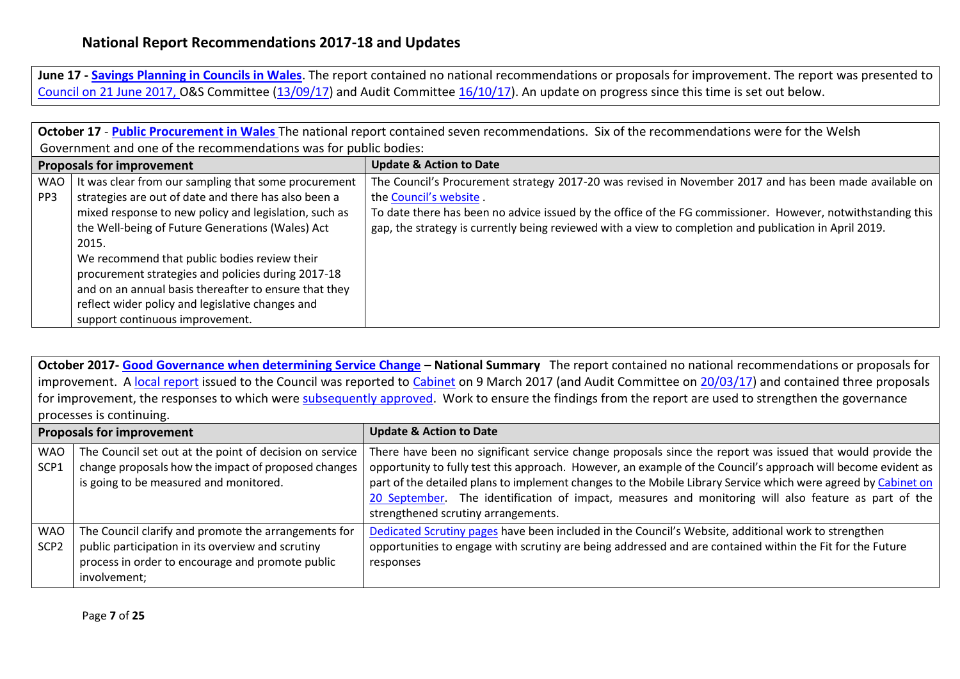**June 17 - [Savings Planning in Councils in Wales](http://www.audit.wales/system/files/publications/Savings-planning-eng.pdf)**. The report contained no national recommendations or proposals for improvement. The report was presented to [Council on 21 June 2017,](https://www.rctcbc.gov.uk/EN/Council/CouncillorsCommitteesandMeetings/Meetings/Council/2017/06/21/Reports/AgendaItem7WalesAuditOfficeReports.pdf) O&S Committee [\(13/09/17\)](https://www.rctcbc.gov.uk/EN/Council/CouncillorsCommitteesandMeetings/Meetings/OverviewandScrutinyCommittee/2017/09/13/Reports/AgendaItem4WAOReportscoveringreportappendices.pdf) and Audit Committee [16/10/17\)](https://www.rctcbc.gov.uk/EN/Council/CouncillorsCommitteesandMeetings/Meetings/AuditCommittee/2017/10/16/Reports/Agendaitem4ReportsoftheWalesAuditOffice.pdf). An update on progress since this time is set out below.

**October 17** - **[Public Procurement in Wales](http://www.audit.wales/system/files/publications/Public-Procurement-in-Wales-2017-English_0.pdf)** The national report contained seven recommendations. Six of the recommendations were for the Welsh Government and one of the recommendations was for public bodies: **Proposals for improvement Update & Action to Date** WAO PP3 It was clear from our sampling that some procurement strategies are out of date and there has also been a mixed response to new policy and legislation, such as the Well-being of Future Generations (Wales) Act 2015. We recommend that public bodies review their procurement strategies and policies during 2017-18 and on an annual basis thereafter to ensure that they reflect wider policy and legislative changes and support continuous improvement. The Council's Procurement strategy 2017-20 was revised in November 2017 and has been made available on the [Council's website](https://www.rctcbc.gov.uk/EN/Business/TendersandProcurement/Procurementstrategy.aspx) . To date there has been no advice issued by the office of the FG commissioner. However, notwithstanding this gap, the strategy is currently being reviewed with a view to completion and publication in April 2019.

**October 2017- [Good Governance when determining Service Change](http://www.audit.wales/system/files/publications/Good-Governance-2017-Eng_0.pdf) – National Summary** The report contained no national recommendations or proposals for improvement. A [local report](https://www.rctcbc.gov.uk/EN/Council/PerformanceBudgetsandSpending/Councilperformance/RelatedDocuments/RegulatoryReports/RegulatoryReports1617/16.121A2017GoodGovernanceSvsChange.pdf) issued to the Council was reported to [Cabinet](https://www.rctcbc.gov.uk/EN/Council/CouncillorsCommitteesandMeetings/Meetings/Cabinet/2017/03/09/Reports/AgendaItem10WAOGoodGovernanceWhenDeterminingSignificantServiceChanges.pdf) on 9 March 2017 (and Audit Committee on [20/03/17\)](https://www.rctcbc.gov.uk/EN/Council/CouncillorsCommitteesandMeetings/Meetings/AuditCommittee/2017/03/20/Reports/AgendaItem4CouncilResponseToWAORecommendations.pdf) and contained three proposals for improvement, the responses to which were [subsequently approved.](https://www.rctcbc.gov.uk/EN/Council/CouncillorsCommitteesandMeetings/Meetings/Cabinet/2017/03/09/Minutes/Minutes.pdf) Work to ensure the findings from the report are used to strengthen the governance processes is continuing.

| <b>Proposals for improvement</b> |                                                                                                                                                                               | <b>Update &amp; Action to Date</b>                                                                                                                                                                                                                                                                                                                                                                                                                                                          |
|----------------------------------|-------------------------------------------------------------------------------------------------------------------------------------------------------------------------------|---------------------------------------------------------------------------------------------------------------------------------------------------------------------------------------------------------------------------------------------------------------------------------------------------------------------------------------------------------------------------------------------------------------------------------------------------------------------------------------------|
| <b>WAO</b><br>SCP <sub>1</sub>   | The Council set out at the point of decision on service<br>change proposals how the impact of proposed changes<br>is going to be measured and monitored.                      | There have been no significant service change proposals since the report was issued that would provide the<br>opportunity to fully test this approach. However, an example of the Council's approach will become evident as<br>part of the detailed plans to implement changes to the Mobile Library Service which were agreed by Cabinet on<br>20 September. The identification of impact, measures and monitoring will also feature as part of the<br>strengthened scrutiny arrangements. |
| <b>WAO</b><br>SCP <sub>2</sub>   | The Council clarify and promote the arrangements for<br>public participation in its overview and scrutiny<br>process in order to encourage and promote public<br>involvement; | Dedicated Scrutiny pages have been included in the Council's Website, additional work to strengthen<br>opportunities to engage with scrutiny are being addressed and are contained within the Fit for the Future<br>responses                                                                                                                                                                                                                                                               |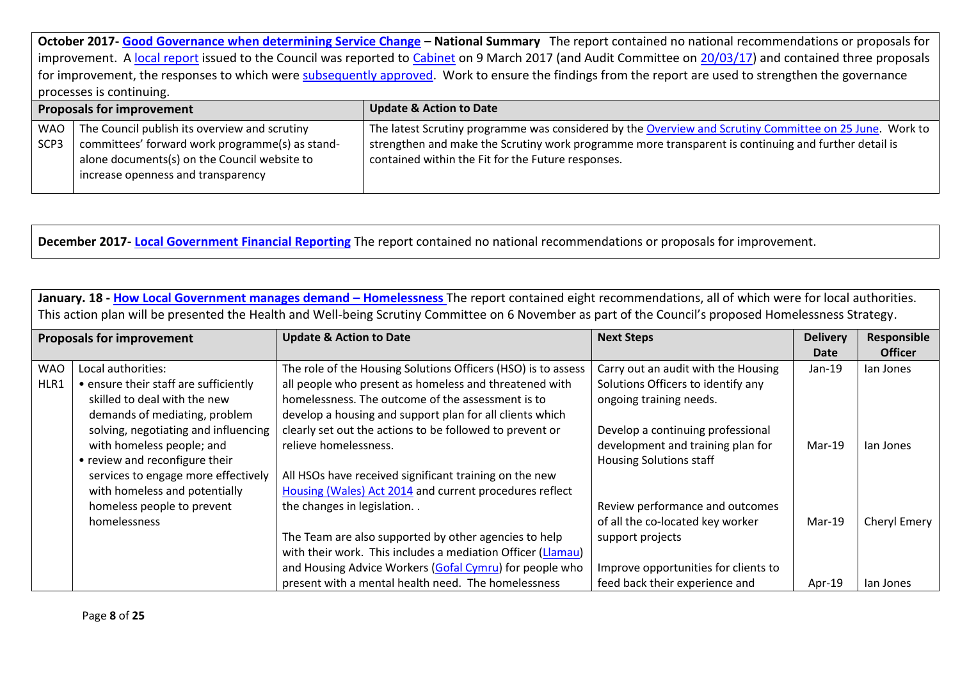**October 2017- [Good Governance when determining Service Change](http://www.audit.wales/system/files/publications/Good-Governance-2017-Eng_0.pdf) – National Summary** The report contained no national recommendations or proposals for improvement. A [local report](https://www.rctcbc.gov.uk/EN/Council/PerformanceBudgetsandSpending/Councilperformance/RelatedDocuments/RegulatoryReports/RegulatoryReports1617/16.121A2017GoodGovernanceSvsChange.pdf) issued to the Council was reported to [Cabinet](https://www.rctcbc.gov.uk/EN/Council/CouncillorsCommitteesandMeetings/Meetings/Cabinet/2017/03/09/Reports/AgendaItem10WAOGoodGovernanceWhenDeterminingSignificantServiceChanges.pdf) on 9 March 2017 (and Audit Committee on [20/03/17\)](https://www.rctcbc.gov.uk/EN/Council/CouncillorsCommitteesandMeetings/Meetings/AuditCommittee/2017/03/20/Reports/AgendaItem4CouncilResponseToWAORecommendations.pdf) and contained three proposals for improvement, the responses to which were [subsequently approved.](https://www.rctcbc.gov.uk/EN/Council/CouncillorsCommitteesandMeetings/Meetings/Cabinet/2017/03/09/Minutes/Minutes.pdf) Work to ensure the findings from the report are used to strengthen the governance processes is continuing.

| <b>Proposals for improvement</b> |                                                     | <b>Update &amp; Action to Date</b>                                                                      |
|----------------------------------|-----------------------------------------------------|---------------------------------------------------------------------------------------------------------|
|                                  | WAO   The Council publish its overview and scrutiny | The latest Scrutiny programme was considered by the Overview and Scrutiny Committee on 25 June. Work to |
| SCP <sub>3</sub>                 | committees' forward work programme(s) as stand-     | strengthen and make the Scrutiny work programme more transparent is continuing and further detail is    |
|                                  | alone documents(s) on the Council website to        | contained within the Fit for the Future responses.                                                      |
|                                  | increase openness and transparency                  |                                                                                                         |
|                                  |                                                     |                                                                                                         |

**December 2017- [Local Government Financial Reporting](http://www.audit.wales/system/files/publications/Local-Government-Finances-2016-17-English.pdf)** The report contained no national recommendations or proposals for improvement.

|                                  | January. 18 - How Local Government manages demand - Homelessness The report contained eight recommendations, all of which were for local authorities.<br>This action plan will be presented the Health and Well-being Scrutiny Committee on 6 November as part of the Council's proposed Homelessness Strategy. |                                                               |                                      |                 |                |  |  |  |  |
|----------------------------------|-----------------------------------------------------------------------------------------------------------------------------------------------------------------------------------------------------------------------------------------------------------------------------------------------------------------|---------------------------------------------------------------|--------------------------------------|-----------------|----------------|--|--|--|--|
| <b>Proposals for improvement</b> |                                                                                                                                                                                                                                                                                                                 | <b>Update &amp; Action to Date</b>                            | <b>Next Steps</b>                    | <b>Delivery</b> | Responsible    |  |  |  |  |
|                                  |                                                                                                                                                                                                                                                                                                                 |                                                               |                                      | Date            | <b>Officer</b> |  |  |  |  |
| <b>WAO</b>                       | Local authorities:                                                                                                                                                                                                                                                                                              | The role of the Housing Solutions Officers (HSO) is to assess | Carry out an audit with the Housing  | $Jan-19$        | lan Jones      |  |  |  |  |
| HLR1                             | • ensure their staff are sufficiently                                                                                                                                                                                                                                                                           | all people who present as homeless and threatened with        | Solutions Officers to identify any   |                 |                |  |  |  |  |
|                                  | skilled to deal with the new                                                                                                                                                                                                                                                                                    | homelessness. The outcome of the assessment is to             | ongoing training needs.              |                 |                |  |  |  |  |
|                                  | demands of mediating, problem                                                                                                                                                                                                                                                                                   | develop a housing and support plan for all clients which      |                                      |                 |                |  |  |  |  |
|                                  | solving, negotiating and influencing                                                                                                                                                                                                                                                                            | clearly set out the actions to be followed to prevent or      | Develop a continuing professional    |                 |                |  |  |  |  |
|                                  | with homeless people; and                                                                                                                                                                                                                                                                                       | relieve homelessness.                                         | development and training plan for    | $Mar-19$        | lan Jones      |  |  |  |  |
|                                  | • review and reconfigure their                                                                                                                                                                                                                                                                                  |                                                               | <b>Housing Solutions staff</b>       |                 |                |  |  |  |  |
|                                  | services to engage more effectively                                                                                                                                                                                                                                                                             | All HSOs have received significant training on the new        |                                      |                 |                |  |  |  |  |
|                                  | with homeless and potentially                                                                                                                                                                                                                                                                                   | Housing (Wales) Act 2014 and current procedures reflect       |                                      |                 |                |  |  |  |  |
|                                  | homeless people to prevent                                                                                                                                                                                                                                                                                      | the changes in legislation                                    | Review performance and outcomes      |                 |                |  |  |  |  |
|                                  | homelessness                                                                                                                                                                                                                                                                                                    |                                                               | of all the co-located key worker     | $Mar-19$        | Cheryl Emery   |  |  |  |  |
|                                  |                                                                                                                                                                                                                                                                                                                 | The Team are also supported by other agencies to help         | support projects                     |                 |                |  |  |  |  |
|                                  |                                                                                                                                                                                                                                                                                                                 | with their work. This includes a mediation Officer (Llamau)   |                                      |                 |                |  |  |  |  |
|                                  |                                                                                                                                                                                                                                                                                                                 | and Housing Advice Workers (Gofal Cymru) for people who       | Improve opportunities for clients to |                 |                |  |  |  |  |
|                                  |                                                                                                                                                                                                                                                                                                                 | present with a mental health need. The homelessness           | feed back their experience and       | Apr-19          | lan Jones      |  |  |  |  |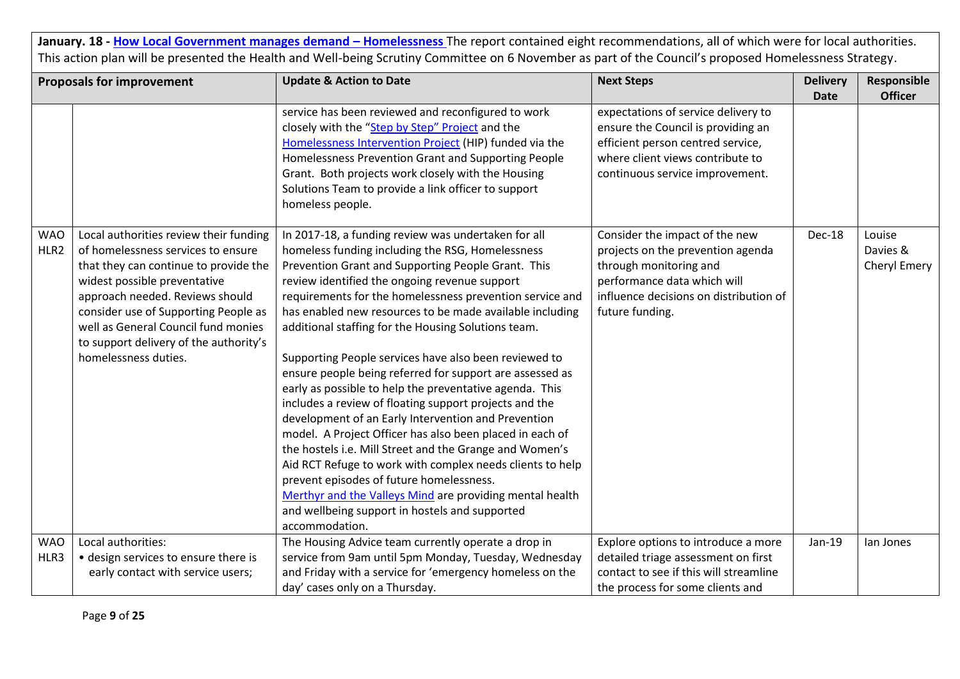|                    | <b>Proposals for improvement</b>                                                                                                                                                                                                                                                                                                          | <b>Update &amp; Action to Date</b>                                                                                                                                                                                                                                                                                                                                                                                                                                                                                                                                                                                                                                                                                                                                                                                                                                                                                                                                                                                                                             | <b>Next Steps</b>                                                                                                                                                                         | <b>Delivery</b> | Responsible                        |
|--------------------|-------------------------------------------------------------------------------------------------------------------------------------------------------------------------------------------------------------------------------------------------------------------------------------------------------------------------------------------|----------------------------------------------------------------------------------------------------------------------------------------------------------------------------------------------------------------------------------------------------------------------------------------------------------------------------------------------------------------------------------------------------------------------------------------------------------------------------------------------------------------------------------------------------------------------------------------------------------------------------------------------------------------------------------------------------------------------------------------------------------------------------------------------------------------------------------------------------------------------------------------------------------------------------------------------------------------------------------------------------------------------------------------------------------------|-------------------------------------------------------------------------------------------------------------------------------------------------------------------------------------------|-----------------|------------------------------------|
|                    |                                                                                                                                                                                                                                                                                                                                           |                                                                                                                                                                                                                                                                                                                                                                                                                                                                                                                                                                                                                                                                                                                                                                                                                                                                                                                                                                                                                                                                |                                                                                                                                                                                           | <b>Date</b>     | <b>Officer</b>                     |
|                    |                                                                                                                                                                                                                                                                                                                                           | service has been reviewed and reconfigured to work<br>closely with the "Step by Step" Project and the<br>Homelessness Intervention Project (HIP) funded via the<br>Homelessness Prevention Grant and Supporting People<br>Grant. Both projects work closely with the Housing<br>Solutions Team to provide a link officer to support<br>homeless people.                                                                                                                                                                                                                                                                                                                                                                                                                                                                                                                                                                                                                                                                                                        | expectations of service delivery to<br>ensure the Council is providing an<br>efficient person centred service,<br>where client views contribute to<br>continuous service improvement.     |                 |                                    |
| <b>WAO</b><br>HLR2 | Local authorities review their funding<br>of homelessness services to ensure<br>that they can continue to provide the<br>widest possible preventative<br>approach needed. Reviews should<br>consider use of Supporting People as<br>well as General Council fund monies<br>to support delivery of the authority's<br>homelessness duties. | In 2017-18, a funding review was undertaken for all<br>homeless funding including the RSG, Homelessness<br>Prevention Grant and Supporting People Grant. This<br>review identified the ongoing revenue support<br>requirements for the homelessness prevention service and<br>has enabled new resources to be made available including<br>additional staffing for the Housing Solutions team.<br>Supporting People services have also been reviewed to<br>ensure people being referred for support are assessed as<br>early as possible to help the preventative agenda. This<br>includes a review of floating support projects and the<br>development of an Early Intervention and Prevention<br>model. A Project Officer has also been placed in each of<br>the hostels i.e. Mill Street and the Grange and Women's<br>Aid RCT Refuge to work with complex needs clients to help<br>prevent episodes of future homelessness.<br>Merthyr and the Valleys Mind are providing mental health<br>and wellbeing support in hostels and supported<br>accommodation. | Consider the impact of the new<br>projects on the prevention agenda<br>through monitoring and<br>performance data which will<br>influence decisions on distribution of<br>future funding. | Dec-18          | Louise<br>Davies &<br>Cheryl Emery |
| <b>WAO</b>         | Local authorities:                                                                                                                                                                                                                                                                                                                        | The Housing Advice team currently operate a drop in                                                                                                                                                                                                                                                                                                                                                                                                                                                                                                                                                                                                                                                                                                                                                                                                                                                                                                                                                                                                            | Explore options to introduce a more                                                                                                                                                       | Jan-19          | lan Jones                          |
| HLR3               | • design services to ensure there is                                                                                                                                                                                                                                                                                                      | service from 9am until 5pm Monday, Tuesday, Wednesday                                                                                                                                                                                                                                                                                                                                                                                                                                                                                                                                                                                                                                                                                                                                                                                                                                                                                                                                                                                                          | detailed triage assessment on first                                                                                                                                                       |                 |                                    |
|                    | early contact with service users;                                                                                                                                                                                                                                                                                                         | and Friday with a service for 'emergency homeless on the                                                                                                                                                                                                                                                                                                                                                                                                                                                                                                                                                                                                                                                                                                                                                                                                                                                                                                                                                                                                       | contact to see if this will streamline                                                                                                                                                    |                 |                                    |
|                    |                                                                                                                                                                                                                                                                                                                                           | day' cases only on a Thursday.                                                                                                                                                                                                                                                                                                                                                                                                                                                                                                                                                                                                                                                                                                                                                                                                                                                                                                                                                                                                                                 | the process for some clients and                                                                                                                                                          |                 |                                    |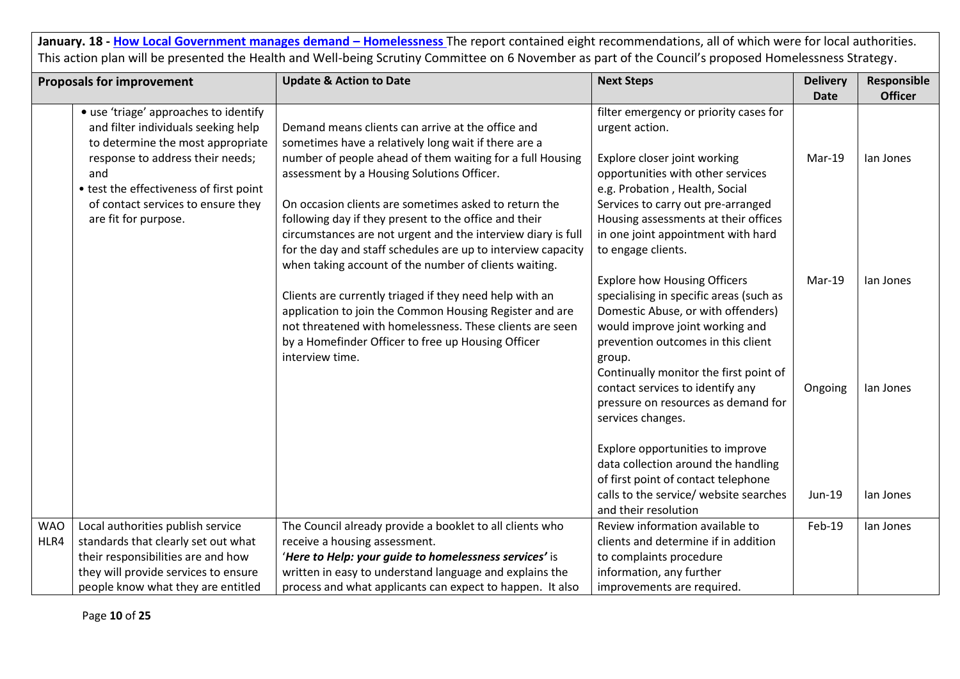|            | <b>Proposals for improvement</b>                                             | <b>Update &amp; Action to Date</b>                                                                                    | <b>Next Steps</b>                                        | <b>Delivery</b> | Responsible    |
|------------|------------------------------------------------------------------------------|-----------------------------------------------------------------------------------------------------------------------|----------------------------------------------------------|-----------------|----------------|
|            |                                                                              |                                                                                                                       |                                                          | <b>Date</b>     | <b>Officer</b> |
|            | • use 'triage' approaches to identify<br>and filter individuals seeking help | Demand means clients can arrive at the office and                                                                     | filter emergency or priority cases for<br>urgent action. |                 |                |
|            | to determine the most appropriate                                            | sometimes have a relatively long wait if there are a                                                                  |                                                          |                 |                |
|            | response to address their needs;                                             | number of people ahead of them waiting for a full Housing                                                             | Explore closer joint working                             | Mar-19          | lan Jones      |
|            | and                                                                          | assessment by a Housing Solutions Officer.                                                                            | opportunities with other services                        |                 |                |
|            | • test the effectiveness of first point                                      |                                                                                                                       | e.g. Probation, Health, Social                           |                 |                |
|            | of contact services to ensure they                                           | On occasion clients are sometimes asked to return the                                                                 | Services to carry out pre-arranged                       |                 |                |
|            | are fit for purpose.                                                         | following day if they present to the office and their                                                                 | Housing assessments at their offices                     |                 |                |
|            |                                                                              | circumstances are not urgent and the interview diary is full                                                          | in one joint appointment with hard                       |                 |                |
|            |                                                                              | for the day and staff schedules are up to interview capacity<br>when taking account of the number of clients waiting. | to engage clients.                                       |                 |                |
|            |                                                                              |                                                                                                                       | <b>Explore how Housing Officers</b>                      | Mar-19          | lan Jones      |
|            |                                                                              | Clients are currently triaged if they need help with an                                                               | specialising in specific areas (such as                  |                 |                |
|            |                                                                              | application to join the Common Housing Register and are                                                               | Domestic Abuse, or with offenders)                       |                 |                |
|            |                                                                              | not threatened with homelessness. These clients are seen                                                              | would improve joint working and                          |                 |                |
|            |                                                                              | by a Homefinder Officer to free up Housing Officer                                                                    | prevention outcomes in this client                       |                 |                |
|            |                                                                              | interview time.                                                                                                       | group.                                                   |                 |                |
|            |                                                                              |                                                                                                                       | Continually monitor the first point of                   |                 |                |
|            |                                                                              |                                                                                                                       | contact services to identify any                         | Ongoing         | lan Jones      |
|            |                                                                              |                                                                                                                       | pressure on resources as demand for                      |                 |                |
|            |                                                                              |                                                                                                                       | services changes.                                        |                 |                |
|            |                                                                              |                                                                                                                       | Explore opportunities to improve                         |                 |                |
|            |                                                                              |                                                                                                                       | data collection around the handling                      |                 |                |
|            |                                                                              |                                                                                                                       | of first point of contact telephone                      |                 |                |
|            |                                                                              |                                                                                                                       | calls to the service/ website searches                   | Jun-19          | lan Jones      |
|            |                                                                              |                                                                                                                       | and their resolution                                     |                 |                |
| <b>WAO</b> | Local authorities publish service                                            | The Council already provide a booklet to all clients who                                                              | Review information available to                          | Feb-19          | lan Jones      |
| HLR4       | standards that clearly set out what                                          | receive a housing assessment.                                                                                         | clients and determine if in addition                     |                 |                |
|            | their responsibilities are and how                                           | 'Here to Help: your guide to homelessness services' is                                                                | to complaints procedure                                  |                 |                |
|            | they will provide services to ensure                                         | written in easy to understand language and explains the                                                               | information, any further                                 |                 |                |
|            | people know what they are entitled                                           | process and what applicants can expect to happen. It also                                                             | improvements are required.                               |                 |                |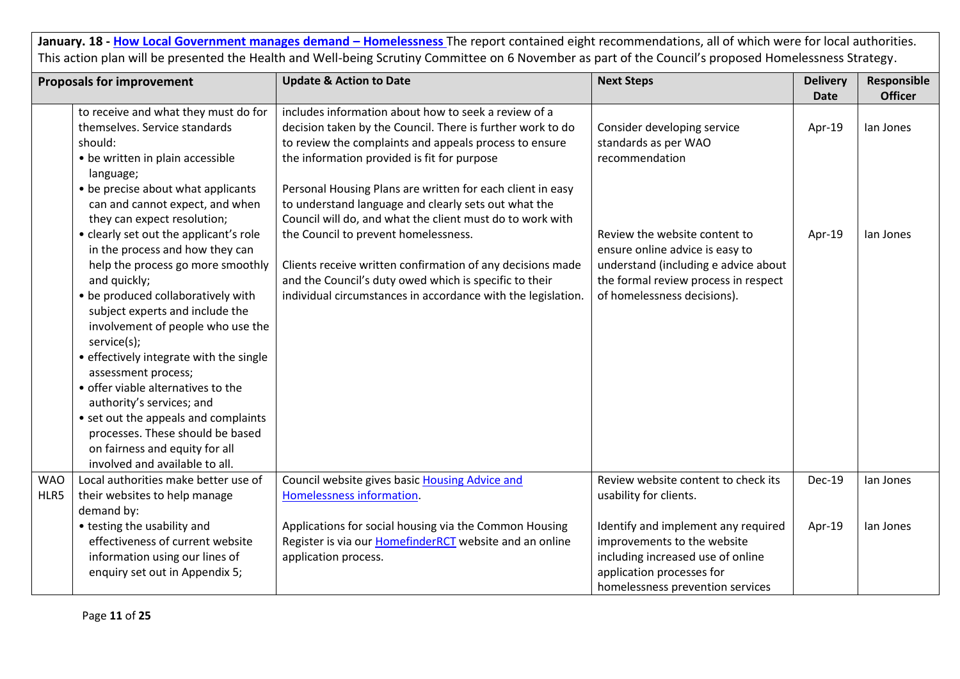|                    | <b>Proposals for improvement</b>                                                                                                                                                                                                                                                                 | <b>Update &amp; Action to Date</b>                                                                                                                                                                                                                                                                                                                                                                             | <b>Next Steps</b>                                                                                                                                                               | <b>Delivery</b> | Responsible    |
|--------------------|--------------------------------------------------------------------------------------------------------------------------------------------------------------------------------------------------------------------------------------------------------------------------------------------------|----------------------------------------------------------------------------------------------------------------------------------------------------------------------------------------------------------------------------------------------------------------------------------------------------------------------------------------------------------------------------------------------------------------|---------------------------------------------------------------------------------------------------------------------------------------------------------------------------------|-----------------|----------------|
|                    |                                                                                                                                                                                                                                                                                                  |                                                                                                                                                                                                                                                                                                                                                                                                                |                                                                                                                                                                                 | <b>Date</b>     | <b>Officer</b> |
|                    | to receive and what they must do for<br>themselves. Service standards<br>should:<br>• be written in plain accessible<br>language;<br>• be precise about what applicants<br>can and cannot expect, and when<br>they can expect resolution;                                                        | includes information about how to seek a review of a<br>decision taken by the Council. There is further work to do<br>to review the complaints and appeals process to ensure<br>the information provided is fit for purpose<br>Personal Housing Plans are written for each client in easy<br>to understand language and clearly sets out what the<br>Council will do, and what the client must do to work with | Consider developing service<br>standards as per WAO<br>recommendation                                                                                                           | Apr-19          | lan Jones      |
|                    | • clearly set out the applicant's role<br>in the process and how they can<br>help the process go more smoothly<br>and quickly;<br>• be produced collaboratively with<br>subject experts and include the<br>involvement of people who use the                                                     | the Council to prevent homelessness.<br>Clients receive written confirmation of any decisions made<br>and the Council's duty owed which is specific to their<br>individual circumstances in accordance with the legislation.                                                                                                                                                                                   | Review the website content to<br>ensure online advice is easy to<br>understand (including e advice about<br>the formal review process in respect<br>of homelessness decisions). | Apr-19          | lan Jones      |
|                    | service(s);<br>• effectively integrate with the single<br>assessment process;<br>• offer viable alternatives to the<br>authority's services; and<br>• set out the appeals and complaints<br>processes. These should be based<br>on fairness and equity for all<br>involved and available to all. |                                                                                                                                                                                                                                                                                                                                                                                                                |                                                                                                                                                                                 |                 |                |
| <b>WAO</b><br>HLR5 | Local authorities make better use of<br>their websites to help manage<br>demand by:                                                                                                                                                                                                              | Council website gives basic Housing Advice and<br>Homelessness information.                                                                                                                                                                                                                                                                                                                                    | Review website content to check its<br>usability for clients.                                                                                                                   | <b>Dec-19</b>   | lan Jones      |
|                    | • testing the usability and<br>effectiveness of current website<br>information using our lines of<br>enquiry set out in Appendix 5;                                                                                                                                                              | Applications for social housing via the Common Housing<br>Register is via our <b>HomefinderRCT</b> website and an online<br>application process.                                                                                                                                                                                                                                                               | Identify and implement any required<br>improvements to the website<br>including increased use of online<br>application processes for<br>homelessness prevention services        | Apr-19          | lan Jones      |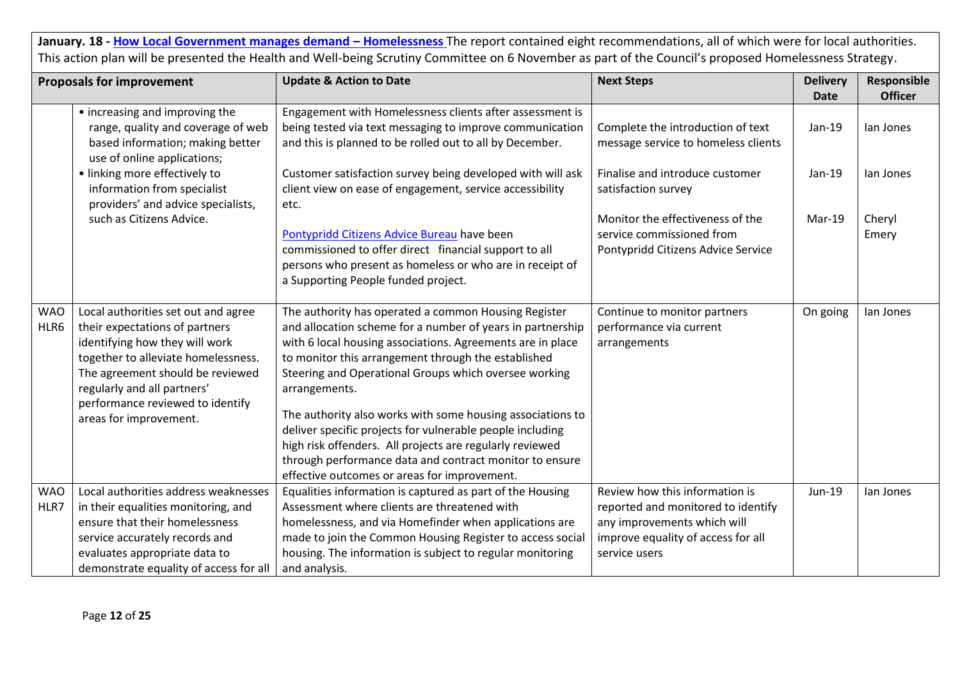|                    | <b>Proposals for improvement</b>                                                                                                                                                                                                                                                | <b>Update &amp; Action to Date</b>                                                                                                                                                                                                                                                                                                                                                                                                                                                                                                                                                                                  | <b>Next Steps</b>                                                                                                                                          | <b>Delivery</b> | Responsible     |
|--------------------|---------------------------------------------------------------------------------------------------------------------------------------------------------------------------------------------------------------------------------------------------------------------------------|---------------------------------------------------------------------------------------------------------------------------------------------------------------------------------------------------------------------------------------------------------------------------------------------------------------------------------------------------------------------------------------------------------------------------------------------------------------------------------------------------------------------------------------------------------------------------------------------------------------------|------------------------------------------------------------------------------------------------------------------------------------------------------------|-----------------|-----------------|
|                    |                                                                                                                                                                                                                                                                                 |                                                                                                                                                                                                                                                                                                                                                                                                                                                                                                                                                                                                                     |                                                                                                                                                            | <b>Date</b>     | <b>Officer</b>  |
|                    | • increasing and improving the<br>range, quality and coverage of web<br>based information; making better<br>use of online applications;                                                                                                                                         | Engagement with Homelessness clients after assessment is<br>being tested via text messaging to improve communication<br>and this is planned to be rolled out to all by December.                                                                                                                                                                                                                                                                                                                                                                                                                                    | Complete the introduction of text<br>message service to homeless clients                                                                                   | Jan-19          | lan Jones       |
|                    | · linking more effectively to<br>information from specialist<br>providers' and advice specialists,                                                                                                                                                                              | Customer satisfaction survey being developed with will ask<br>client view on ease of engagement, service accessibility<br>etc.                                                                                                                                                                                                                                                                                                                                                                                                                                                                                      | Finalise and introduce customer<br>satisfaction survey                                                                                                     | Jan-19          | lan Jones       |
|                    | such as Citizens Advice.                                                                                                                                                                                                                                                        | Pontypridd Citizens Advice Bureau have been<br>commissioned to offer direct financial support to all<br>persons who present as homeless or who are in receipt of<br>a Supporting People funded project.                                                                                                                                                                                                                                                                                                                                                                                                             | Monitor the effectiveness of the<br>service commissioned from<br>Pontypridd Citizens Advice Service                                                        | Mar-19          | Cheryl<br>Emery |
| <b>WAO</b><br>HLR6 | Local authorities set out and agree<br>their expectations of partners<br>identifying how they will work<br>together to alleviate homelessness.<br>The agreement should be reviewed<br>regularly and all partners'<br>performance reviewed to identify<br>areas for improvement. | The authority has operated a common Housing Register<br>and allocation scheme for a number of years in partnership<br>with 6 local housing associations. Agreements are in place<br>to monitor this arrangement through the established<br>Steering and Operational Groups which oversee working<br>arrangements.<br>The authority also works with some housing associations to<br>deliver specific projects for vulnerable people including<br>high risk offenders. All projects are regularly reviewed<br>through performance data and contract monitor to ensure<br>effective outcomes or areas for improvement. | Continue to monitor partners<br>performance via current<br>arrangements                                                                                    | On going        | lan Jones       |
| <b>WAO</b><br>HLR7 | Local authorities address weaknesses<br>in their equalities monitoring, and<br>ensure that their homelessness<br>service accurately records and<br>evaluates appropriate data to<br>demonstrate equality of access for all                                                      | Equalities information is captured as part of the Housing<br>Assessment where clients are threatened with<br>homelessness, and via Homefinder when applications are<br>made to join the Common Housing Register to access social<br>housing. The information is subject to regular monitoring<br>and analysis.                                                                                                                                                                                                                                                                                                      | Review how this information is<br>reported and monitored to identify<br>any improvements which will<br>improve equality of access for all<br>service users | Jun-19          | lan Jones       |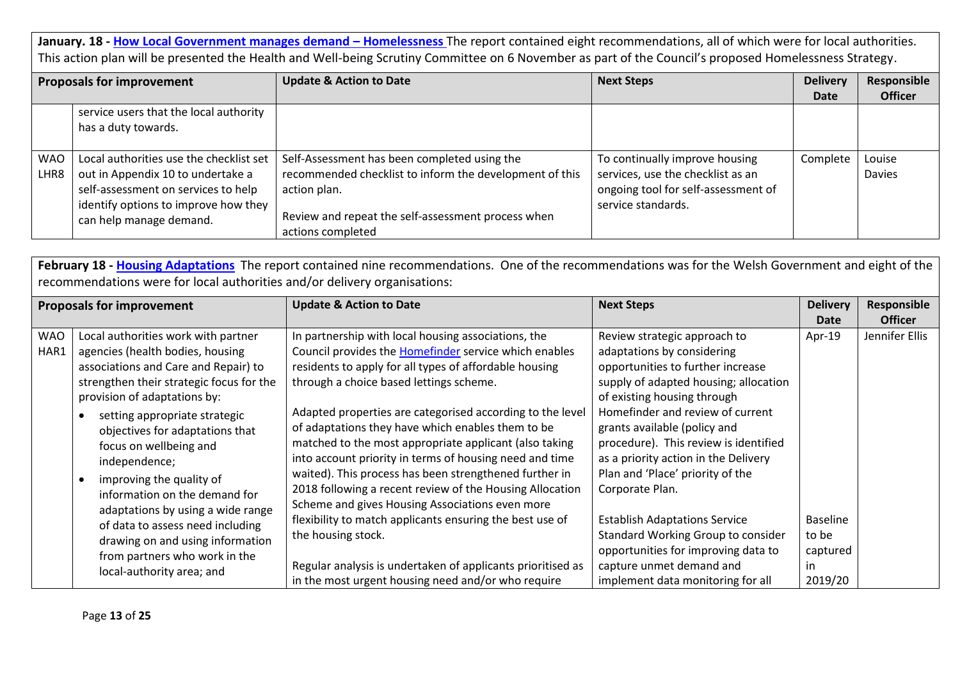| <b>Proposals for improvement</b> |                                         | <b>Update &amp; Action to Date</b>                      | <b>Next Steps</b>                   | <b>Delivery</b> | Responsible    |
|----------------------------------|-----------------------------------------|---------------------------------------------------------|-------------------------------------|-----------------|----------------|
|                                  |                                         |                                                         |                                     | Date            | <b>Officer</b> |
|                                  | service users that the local authority  |                                                         |                                     |                 |                |
|                                  | has a duty towards.                     |                                                         |                                     |                 |                |
|                                  |                                         |                                                         |                                     |                 |                |
| <b>WAO</b>                       | Local authorities use the checklist set | Self-Assessment has been completed using the            | To continually improve housing      | Complete        | Louise         |
| LHR8                             | out in Appendix 10 to undertake a       | recommended checklist to inform the development of this | services, use the checklist as an   |                 | <b>Davies</b>  |
|                                  | self-assessment on services to help     | action plan.                                            | ongoing tool for self-assessment of |                 |                |
|                                  | identify options to improve how they    |                                                         | service standards.                  |                 |                |
|                                  | can help manage demand.                 | Review and repeat the self-assessment process when      |                                     |                 |                |
|                                  |                                         | actions completed                                       |                                     |                 |                |

|            | <b>Proposals for improvement</b>         | <b>Update &amp; Action to Date</b>                          | <b>Next Steps</b>                     | <b>Delivery</b> | Responsible    |
|------------|------------------------------------------|-------------------------------------------------------------|---------------------------------------|-----------------|----------------|
|            |                                          |                                                             |                                       | Date            | <b>Officer</b> |
| <b>WAO</b> | Local authorities work with partner      | In partnership with local housing associations, the         | Review strategic approach to          | Apr-19          | Jennifer Ellis |
| HAR1       | agencies (health bodies, housing         | Council provides the Homefinder service which enables       | adaptations by considering            |                 |                |
|            | associations and Care and Repair) to     | residents to apply for all types of affordable housing      | opportunities to further increase     |                 |                |
|            | strengthen their strategic focus for the | through a choice based lettings scheme.                     | supply of adapted housing; allocation |                 |                |
|            | provision of adaptations by:             |                                                             | of existing housing through           |                 |                |
|            | setting appropriate strategic            | Adapted properties are categorised according to the level   | Homefinder and review of current      |                 |                |
|            | objectives for adaptations that          | of adaptations they have which enables them to be           | grants available (policy and          |                 |                |
|            | focus on wellbeing and                   | matched to the most appropriate applicant (also taking      | procedure). This review is identified |                 |                |
|            | independence;                            | into account priority in terms of housing need and time     | as a priority action in the Delivery  |                 |                |
|            | improving the quality of                 | waited). This process has been strengthened further in      | Plan and 'Place' priority of the      |                 |                |
|            | information on the demand for            | 2018 following a recent review of the Housing Allocation    | Corporate Plan.                       |                 |                |
|            | adaptations by using a wide range        | Scheme and gives Housing Associations even more             |                                       |                 |                |
|            | of data to assess need including         | flexibility to match applicants ensuring the best use of    | <b>Establish Adaptations Service</b>  | <b>Baseline</b> |                |
|            | drawing on and using information         | the housing stock.                                          | Standard Working Group to consider    | to be           |                |
|            | from partners who work in the            |                                                             | opportunities for improving data to   | captured        |                |
|            | local-authority area; and                | Regular analysis is undertaken of applicants prioritised as | capture unmet demand and              | in              |                |
|            |                                          | in the most urgent housing need and/or who require          | implement data monitoring for all     | 2019/20         |                |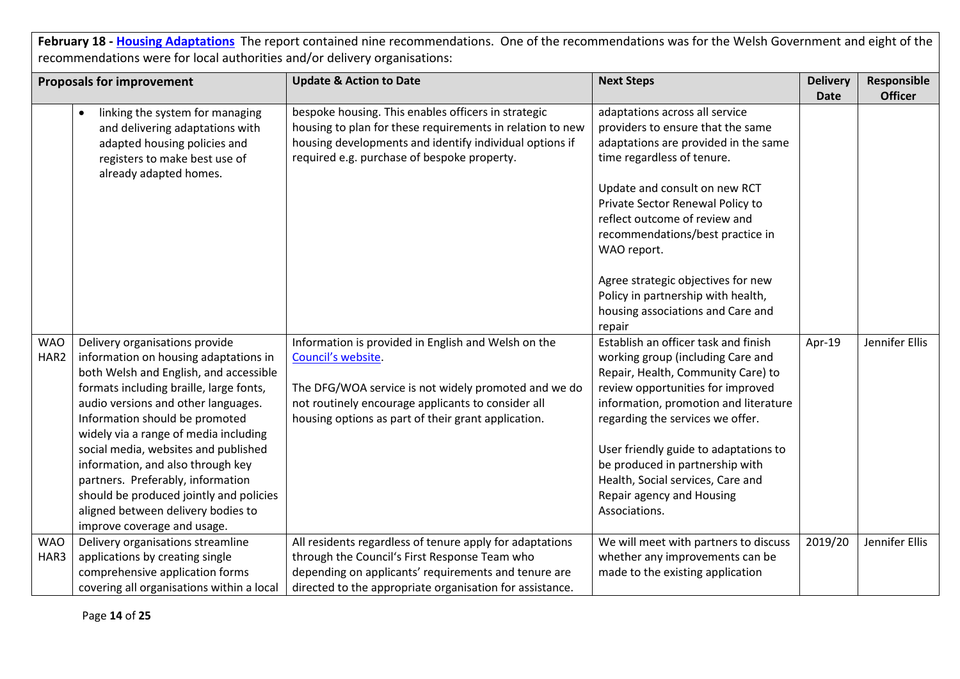|                    | <b>Proposals for improvement</b>                                                                                                                                                                                                                                                                                                                                                                                                                                                                                 | <b>Update &amp; Action to Date</b>                                                                                                                                                                                                             | <b>Next Steps</b>                                                                                                                                                                                                                                                                                                                                                                                | <b>Delivery</b> | Responsible    |
|--------------------|------------------------------------------------------------------------------------------------------------------------------------------------------------------------------------------------------------------------------------------------------------------------------------------------------------------------------------------------------------------------------------------------------------------------------------------------------------------------------------------------------------------|------------------------------------------------------------------------------------------------------------------------------------------------------------------------------------------------------------------------------------------------|--------------------------------------------------------------------------------------------------------------------------------------------------------------------------------------------------------------------------------------------------------------------------------------------------------------------------------------------------------------------------------------------------|-----------------|----------------|
|                    |                                                                                                                                                                                                                                                                                                                                                                                                                                                                                                                  |                                                                                                                                                                                                                                                |                                                                                                                                                                                                                                                                                                                                                                                                  | <b>Date</b>     | <b>Officer</b> |
|                    | linking the system for managing<br>and delivering adaptations with<br>adapted housing policies and<br>registers to make best use of<br>already adapted homes.                                                                                                                                                                                                                                                                                                                                                    | bespoke housing. This enables officers in strategic<br>housing to plan for these requirements in relation to new<br>housing developments and identify individual options if<br>required e.g. purchase of bespoke property.                     | adaptations across all service<br>providers to ensure that the same<br>adaptations are provided in the same<br>time regardless of tenure.<br>Update and consult on new RCT<br>Private Sector Renewal Policy to<br>reflect outcome of review and<br>recommendations/best practice in<br>WAO report.                                                                                               |                 |                |
|                    |                                                                                                                                                                                                                                                                                                                                                                                                                                                                                                                  |                                                                                                                                                                                                                                                | Agree strategic objectives for new<br>Policy in partnership with health,<br>housing associations and Care and<br>repair                                                                                                                                                                                                                                                                          |                 |                |
| <b>WAO</b><br>HAR2 | Delivery organisations provide<br>information on housing adaptations in<br>both Welsh and English, and accessible<br>formats including braille, large fonts,<br>audio versions and other languages.<br>Information should be promoted<br>widely via a range of media including<br>social media, websites and published<br>information, and also through key<br>partners. Preferably, information<br>should be produced jointly and policies<br>aligned between delivery bodies to<br>improve coverage and usage. | Information is provided in English and Welsh on the<br>Council's website.<br>The DFG/WOA service is not widely promoted and we do<br>not routinely encourage applicants to consider all<br>housing options as part of their grant application. | Establish an officer task and finish<br>working group (including Care and<br>Repair, Health, Community Care) to<br>review opportunities for improved<br>information, promotion and literature<br>regarding the services we offer.<br>User friendly guide to adaptations to<br>be produced in partnership with<br>Health, Social services, Care and<br>Repair agency and Housing<br>Associations. | Apr-19          | Jennifer Ellis |
| <b>WAO</b><br>HAR3 | Delivery organisations streamline<br>applications by creating single<br>comprehensive application forms<br>covering all organisations within a local                                                                                                                                                                                                                                                                                                                                                             | All residents regardless of tenure apply for adaptations<br>through the Council's First Response Team who<br>depending on applicants' requirements and tenure are<br>directed to the appropriate organisation for assistance.                  | We will meet with partners to discuss<br>whether any improvements can be<br>made to the existing application                                                                                                                                                                                                                                                                                     | 2019/20         | Jennifer Ellis |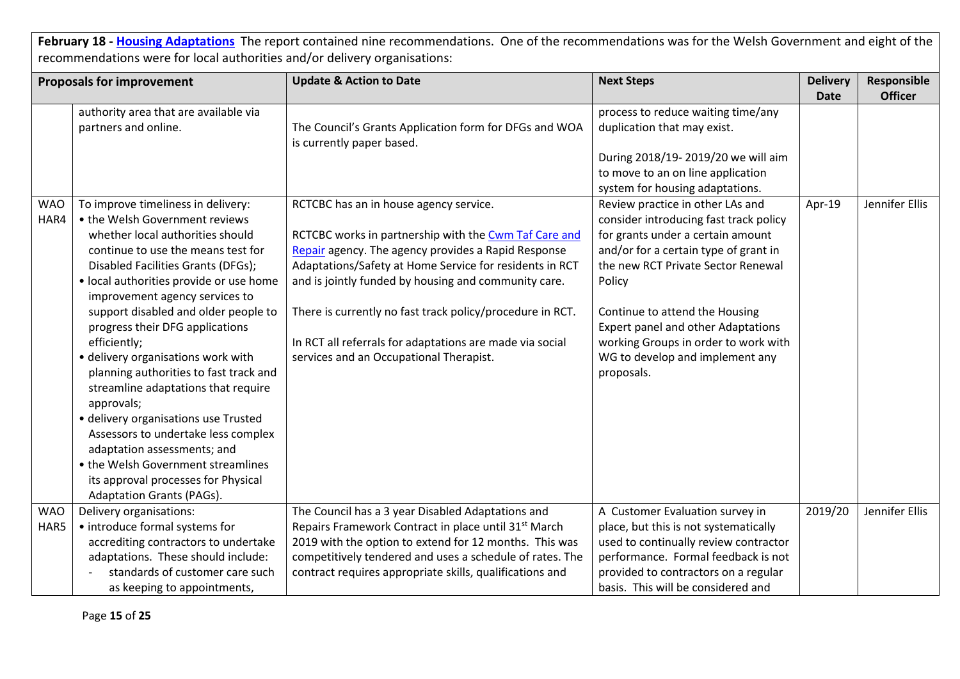|            | <b>Proposals for improvement</b>                  | <b>Update &amp; Action to Date</b>                                                  | <b>Next Steps</b>                      | <b>Delivery</b><br><b>Date</b> | Responsible<br><b>Officer</b> |
|------------|---------------------------------------------------|-------------------------------------------------------------------------------------|----------------------------------------|--------------------------------|-------------------------------|
|            | authority area that are available via             |                                                                                     | process to reduce waiting time/any     |                                |                               |
|            | partners and online.                              | The Council's Grants Application form for DFGs and WOA<br>is currently paper based. | duplication that may exist.            |                                |                               |
|            |                                                   |                                                                                     | During 2018/19-2019/20 we will aim     |                                |                               |
|            |                                                   |                                                                                     | to move to an on line application      |                                |                               |
|            |                                                   |                                                                                     | system for housing adaptations.        |                                |                               |
| <b>WAO</b> | To improve timeliness in delivery:                | RCTCBC has an in house agency service.                                              | Review practice in other LAs and       | Apr-19                         | Jennifer Ellis                |
| HAR4       | • the Welsh Government reviews                    |                                                                                     | consider introducing fast track policy |                                |                               |
|            | whether local authorities should                  | RCTCBC works in partnership with the Cwm Taf Care and                               | for grants under a certain amount      |                                |                               |
|            | continue to use the means test for                | Repair agency. The agency provides a Rapid Response                                 | and/or for a certain type of grant in  |                                |                               |
|            | Disabled Facilities Grants (DFGs);                | Adaptations/Safety at Home Service for residents in RCT                             | the new RCT Private Sector Renewal     |                                |                               |
|            | · local authorities provide or use home           | and is jointly funded by housing and community care.                                | Policy                                 |                                |                               |
|            | improvement agency services to                    |                                                                                     |                                        |                                |                               |
|            | support disabled and older people to              | There is currently no fast track policy/procedure in RCT.                           | Continue to attend the Housing         |                                |                               |
|            | progress their DFG applications                   |                                                                                     | Expert panel and other Adaptations     |                                |                               |
|            | efficiently;                                      | In RCT all referrals for adaptations are made via social                            | working Groups in order to work with   |                                |                               |
|            | · delivery organisations work with                | services and an Occupational Therapist.                                             | WG to develop and implement any        |                                |                               |
|            | planning authorities to fast track and            |                                                                                     | proposals.                             |                                |                               |
|            | streamline adaptations that require<br>approvals; |                                                                                     |                                        |                                |                               |
|            | · delivery organisations use Trusted              |                                                                                     |                                        |                                |                               |
|            | Assessors to undertake less complex               |                                                                                     |                                        |                                |                               |
|            | adaptation assessments; and                       |                                                                                     |                                        |                                |                               |
|            | • the Welsh Government streamlines                |                                                                                     |                                        |                                |                               |
|            | its approval processes for Physical               |                                                                                     |                                        |                                |                               |
|            | Adaptation Grants (PAGs).                         |                                                                                     |                                        |                                |                               |
| <b>WAO</b> | Delivery organisations:                           | The Council has a 3 year Disabled Adaptations and                                   | A Customer Evaluation survey in        | 2019/20                        | Jennifer Ellis                |
| HAR5       | • introduce formal systems for                    | Repairs Framework Contract in place until 31 <sup>st</sup> March                    | place, but this is not systematically  |                                |                               |
|            | accrediting contractors to undertake              | 2019 with the option to extend for 12 months. This was                              | used to continually review contractor  |                                |                               |
|            | adaptations. These should include:                | competitively tendered and uses a schedule of rates. The                            | performance. Formal feedback is not    |                                |                               |
|            | standards of customer care such                   | contract requires appropriate skills, qualifications and                            | provided to contractors on a regular   |                                |                               |
|            | as keeping to appointments,                       |                                                                                     | basis. This will be considered and     |                                |                               |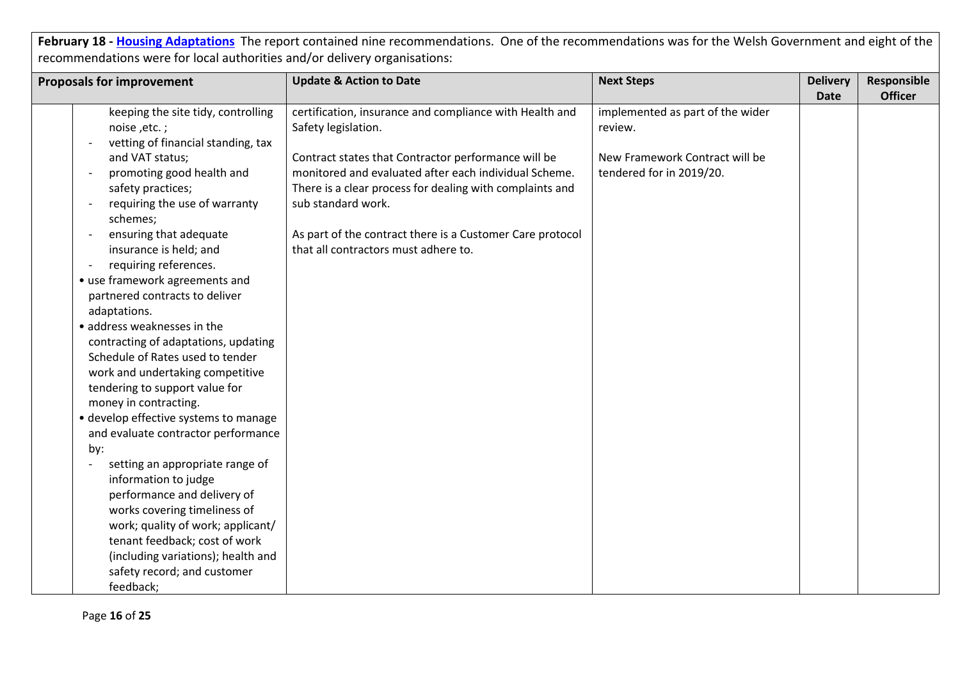| certification, insurance and compliance with Health and<br>implemented as part of the wider<br>keeping the site tidy, controlling<br>Safety legislation.<br>noise, etc.;<br>review.<br>vetting of financial standing, tax<br>and VAT status;<br>Contract states that Contractor performance will be<br>New Framework Contract will be<br>promoting good health and<br>monitored and evaluated after each individual Scheme.<br>tendered for in 2019/20.<br>safety practices;<br>There is a clear process for dealing with complaints and<br>requiring the use of warranty<br>sub standard work.<br>schemes;<br>ensuring that adequate<br>As part of the contract there is a Customer Care protocol<br>$\overline{\phantom{a}}$<br>insurance is held; and<br>that all contractors must adhere to.<br>requiring references.<br>• use framework agreements and<br>partnered contracts to deliver<br>adaptations.<br>· address weaknesses in the<br>contracting of adaptations, updating<br>Schedule of Rates used to tender<br>work and undertaking competitive<br>tendering to support value for<br>money in contracting.<br>• develop effective systems to manage<br>and evaluate contractor performance<br>by:<br>setting an appropriate range of | <b>Proposals for improvement</b> | <b>Update &amp; Action to Date</b> | <b>Next Steps</b> | <b>Delivery</b> | Responsible    |
|---------------------------------------------------------------------------------------------------------------------------------------------------------------------------------------------------------------------------------------------------------------------------------------------------------------------------------------------------------------------------------------------------------------------------------------------------------------------------------------------------------------------------------------------------------------------------------------------------------------------------------------------------------------------------------------------------------------------------------------------------------------------------------------------------------------------------------------------------------------------------------------------------------------------------------------------------------------------------------------------------------------------------------------------------------------------------------------------------------------------------------------------------------------------------------------------------------------------------------------------------|----------------------------------|------------------------------------|-------------------|-----------------|----------------|
|                                                                                                                                                                                                                                                                                                                                                                                                                                                                                                                                                                                                                                                                                                                                                                                                                                                                                                                                                                                                                                                                                                                                                                                                                                                   |                                  |                                    |                   | <b>Date</b>     | <b>Officer</b> |
|                                                                                                                                                                                                                                                                                                                                                                                                                                                                                                                                                                                                                                                                                                                                                                                                                                                                                                                                                                                                                                                                                                                                                                                                                                                   |                                  |                                    |                   |                 |                |
|                                                                                                                                                                                                                                                                                                                                                                                                                                                                                                                                                                                                                                                                                                                                                                                                                                                                                                                                                                                                                                                                                                                                                                                                                                                   |                                  |                                    |                   |                 |                |
|                                                                                                                                                                                                                                                                                                                                                                                                                                                                                                                                                                                                                                                                                                                                                                                                                                                                                                                                                                                                                                                                                                                                                                                                                                                   |                                  |                                    |                   |                 |                |
|                                                                                                                                                                                                                                                                                                                                                                                                                                                                                                                                                                                                                                                                                                                                                                                                                                                                                                                                                                                                                                                                                                                                                                                                                                                   |                                  |                                    |                   |                 |                |
|                                                                                                                                                                                                                                                                                                                                                                                                                                                                                                                                                                                                                                                                                                                                                                                                                                                                                                                                                                                                                                                                                                                                                                                                                                                   |                                  |                                    |                   |                 |                |
|                                                                                                                                                                                                                                                                                                                                                                                                                                                                                                                                                                                                                                                                                                                                                                                                                                                                                                                                                                                                                                                                                                                                                                                                                                                   |                                  |                                    |                   |                 |                |
|                                                                                                                                                                                                                                                                                                                                                                                                                                                                                                                                                                                                                                                                                                                                                                                                                                                                                                                                                                                                                                                                                                                                                                                                                                                   |                                  |                                    |                   |                 |                |
|                                                                                                                                                                                                                                                                                                                                                                                                                                                                                                                                                                                                                                                                                                                                                                                                                                                                                                                                                                                                                                                                                                                                                                                                                                                   |                                  |                                    |                   |                 |                |
|                                                                                                                                                                                                                                                                                                                                                                                                                                                                                                                                                                                                                                                                                                                                                                                                                                                                                                                                                                                                                                                                                                                                                                                                                                                   |                                  |                                    |                   |                 |                |
|                                                                                                                                                                                                                                                                                                                                                                                                                                                                                                                                                                                                                                                                                                                                                                                                                                                                                                                                                                                                                                                                                                                                                                                                                                                   |                                  |                                    |                   |                 |                |
|                                                                                                                                                                                                                                                                                                                                                                                                                                                                                                                                                                                                                                                                                                                                                                                                                                                                                                                                                                                                                                                                                                                                                                                                                                                   |                                  |                                    |                   |                 |                |
|                                                                                                                                                                                                                                                                                                                                                                                                                                                                                                                                                                                                                                                                                                                                                                                                                                                                                                                                                                                                                                                                                                                                                                                                                                                   |                                  |                                    |                   |                 |                |
|                                                                                                                                                                                                                                                                                                                                                                                                                                                                                                                                                                                                                                                                                                                                                                                                                                                                                                                                                                                                                                                                                                                                                                                                                                                   |                                  |                                    |                   |                 |                |
|                                                                                                                                                                                                                                                                                                                                                                                                                                                                                                                                                                                                                                                                                                                                                                                                                                                                                                                                                                                                                                                                                                                                                                                                                                                   |                                  |                                    |                   |                 |                |
|                                                                                                                                                                                                                                                                                                                                                                                                                                                                                                                                                                                                                                                                                                                                                                                                                                                                                                                                                                                                                                                                                                                                                                                                                                                   |                                  |                                    |                   |                 |                |
|                                                                                                                                                                                                                                                                                                                                                                                                                                                                                                                                                                                                                                                                                                                                                                                                                                                                                                                                                                                                                                                                                                                                                                                                                                                   |                                  |                                    |                   |                 |                |
|                                                                                                                                                                                                                                                                                                                                                                                                                                                                                                                                                                                                                                                                                                                                                                                                                                                                                                                                                                                                                                                                                                                                                                                                                                                   |                                  |                                    |                   |                 |                |
|                                                                                                                                                                                                                                                                                                                                                                                                                                                                                                                                                                                                                                                                                                                                                                                                                                                                                                                                                                                                                                                                                                                                                                                                                                                   |                                  |                                    |                   |                 |                |
|                                                                                                                                                                                                                                                                                                                                                                                                                                                                                                                                                                                                                                                                                                                                                                                                                                                                                                                                                                                                                                                                                                                                                                                                                                                   |                                  |                                    |                   |                 |                |
|                                                                                                                                                                                                                                                                                                                                                                                                                                                                                                                                                                                                                                                                                                                                                                                                                                                                                                                                                                                                                                                                                                                                                                                                                                                   |                                  |                                    |                   |                 |                |
|                                                                                                                                                                                                                                                                                                                                                                                                                                                                                                                                                                                                                                                                                                                                                                                                                                                                                                                                                                                                                                                                                                                                                                                                                                                   |                                  |                                    |                   |                 |                |
|                                                                                                                                                                                                                                                                                                                                                                                                                                                                                                                                                                                                                                                                                                                                                                                                                                                                                                                                                                                                                                                                                                                                                                                                                                                   |                                  |                                    |                   |                 |                |
|                                                                                                                                                                                                                                                                                                                                                                                                                                                                                                                                                                                                                                                                                                                                                                                                                                                                                                                                                                                                                                                                                                                                                                                                                                                   |                                  |                                    |                   |                 |                |
| information to judge                                                                                                                                                                                                                                                                                                                                                                                                                                                                                                                                                                                                                                                                                                                                                                                                                                                                                                                                                                                                                                                                                                                                                                                                                              |                                  |                                    |                   |                 |                |
| performance and delivery of<br>works covering timeliness of                                                                                                                                                                                                                                                                                                                                                                                                                                                                                                                                                                                                                                                                                                                                                                                                                                                                                                                                                                                                                                                                                                                                                                                       |                                  |                                    |                   |                 |                |
| work; quality of work; applicant/                                                                                                                                                                                                                                                                                                                                                                                                                                                                                                                                                                                                                                                                                                                                                                                                                                                                                                                                                                                                                                                                                                                                                                                                                 |                                  |                                    |                   |                 |                |
| tenant feedback; cost of work                                                                                                                                                                                                                                                                                                                                                                                                                                                                                                                                                                                                                                                                                                                                                                                                                                                                                                                                                                                                                                                                                                                                                                                                                     |                                  |                                    |                   |                 |                |
| (including variations); health and                                                                                                                                                                                                                                                                                                                                                                                                                                                                                                                                                                                                                                                                                                                                                                                                                                                                                                                                                                                                                                                                                                                                                                                                                |                                  |                                    |                   |                 |                |
| safety record; and customer                                                                                                                                                                                                                                                                                                                                                                                                                                                                                                                                                                                                                                                                                                                                                                                                                                                                                                                                                                                                                                                                                                                                                                                                                       |                                  |                                    |                   |                 |                |
| feedback;                                                                                                                                                                                                                                                                                                                                                                                                                                                                                                                                                                                                                                                                                                                                                                                                                                                                                                                                                                                                                                                                                                                                                                                                                                         |                                  |                                    |                   |                 |                |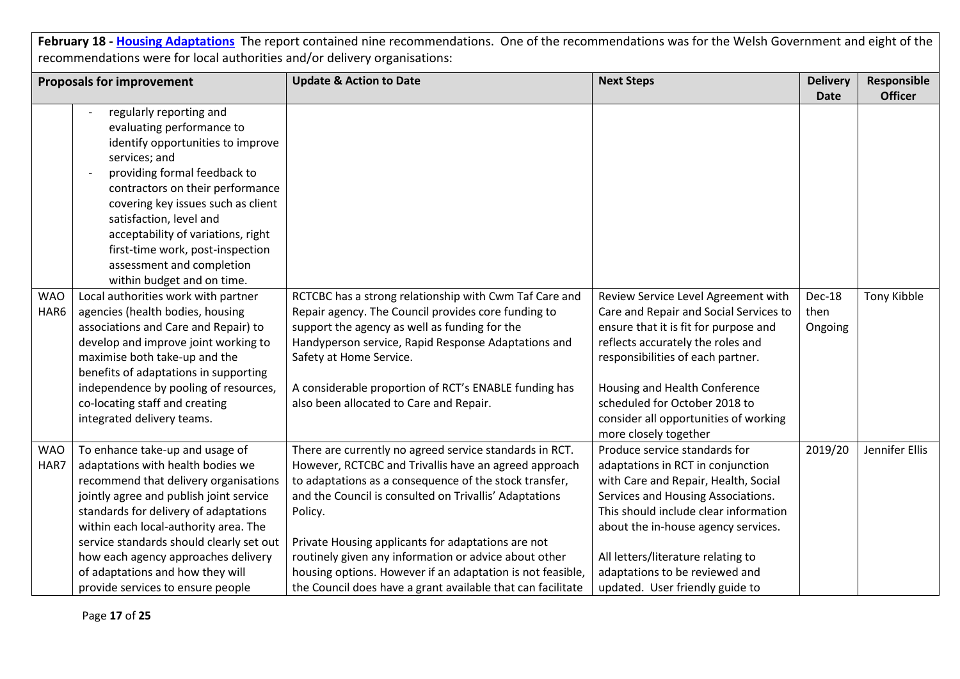|            | <b>Proposals for improvement</b>                   | <b>Update &amp; Action to Date</b>                          | <b>Next Steps</b>                      | <b>Delivery</b> | Responsible    |
|------------|----------------------------------------------------|-------------------------------------------------------------|----------------------------------------|-----------------|----------------|
|            |                                                    |                                                             |                                        | <b>Date</b>     | <b>Officer</b> |
|            | regularly reporting and                            |                                                             |                                        |                 |                |
|            | evaluating performance to                          |                                                             |                                        |                 |                |
|            | identify opportunities to improve<br>services; and |                                                             |                                        |                 |                |
|            | providing formal feedback to                       |                                                             |                                        |                 |                |
|            | contractors on their performance                   |                                                             |                                        |                 |                |
|            | covering key issues such as client                 |                                                             |                                        |                 |                |
|            | satisfaction, level and                            |                                                             |                                        |                 |                |
|            | acceptability of variations, right                 |                                                             |                                        |                 |                |
|            | first-time work, post-inspection                   |                                                             |                                        |                 |                |
|            | assessment and completion                          |                                                             |                                        |                 |                |
|            | within budget and on time.                         |                                                             |                                        |                 |                |
| <b>WAO</b> | Local authorities work with partner                | RCTCBC has a strong relationship with Cwm Taf Care and      | Review Service Level Agreement with    | Dec-18          | Tony Kibble    |
| HAR6       | agencies (health bodies, housing                   | Repair agency. The Council provides core funding to         | Care and Repair and Social Services to | then            |                |
|            | associations and Care and Repair) to               | support the agency as well as funding for the               | ensure that it is fit for purpose and  | Ongoing         |                |
|            | develop and improve joint working to               | Handyperson service, Rapid Response Adaptations and         | reflects accurately the roles and      |                 |                |
|            | maximise both take-up and the                      | Safety at Home Service.                                     | responsibilities of each partner.      |                 |                |
|            | benefits of adaptations in supporting              |                                                             |                                        |                 |                |
|            | independence by pooling of resources,              | A considerable proportion of RCT's ENABLE funding has       | Housing and Health Conference          |                 |                |
|            | co-locating staff and creating                     | also been allocated to Care and Repair.                     | scheduled for October 2018 to          |                 |                |
|            | integrated delivery teams.                         |                                                             | consider all opportunities of working  |                 |                |
|            |                                                    |                                                             | more closely together                  |                 |                |
| <b>WAO</b> | To enhance take-up and usage of                    | There are currently no agreed service standards in RCT.     | Produce service standards for          | 2019/20         | Jennifer Ellis |
| HAR7       | adaptations with health bodies we                  | However, RCTCBC and Trivallis have an agreed approach       | adaptations in RCT in conjunction      |                 |                |
|            | recommend that delivery organisations              | to adaptations as a consequence of the stock transfer,      | with Care and Repair, Health, Social   |                 |                |
|            | jointly agree and publish joint service            | and the Council is consulted on Trivallis' Adaptations      | Services and Housing Associations.     |                 |                |
|            | standards for delivery of adaptations              | Policy.                                                     | This should include clear information  |                 |                |
|            | within each local-authority area. The              |                                                             | about the in-house agency services.    |                 |                |
|            | service standards should clearly set out           | Private Housing applicants for adaptations are not          |                                        |                 |                |
|            | how each agency approaches delivery                | routinely given any information or advice about other       | All letters/literature relating to     |                 |                |
|            | of adaptations and how they will                   | housing options. However if an adaptation is not feasible,  | adaptations to be reviewed and         |                 |                |
|            | provide services to ensure people                  | the Council does have a grant available that can facilitate | updated. User friendly guide to        |                 |                |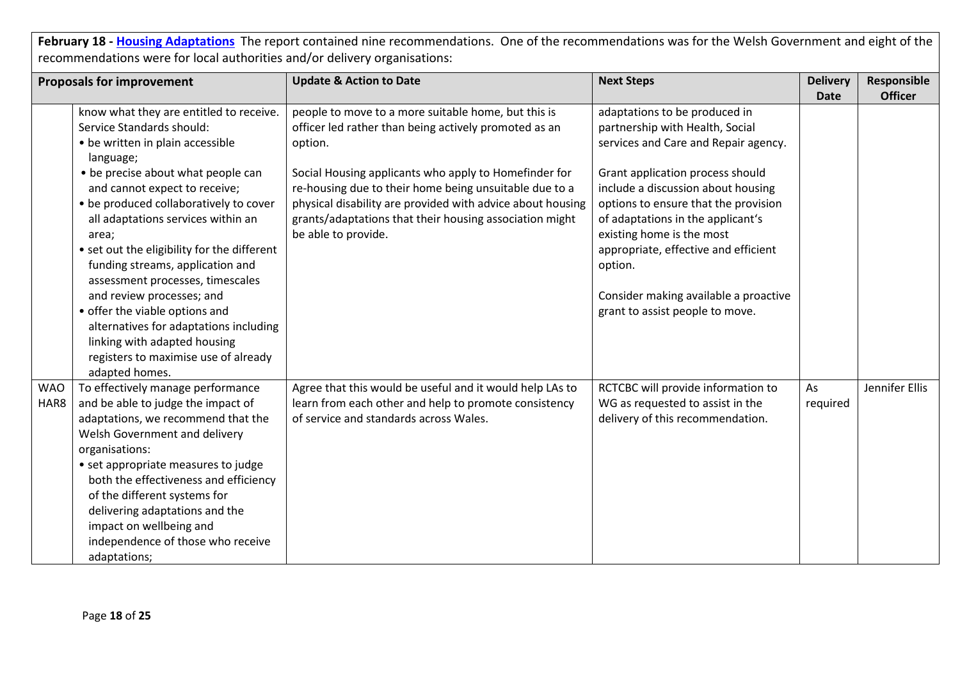|                    | <b>Proposals for improvement</b>                                                                                                                                                                                                                                                                                                                                                                                                                                                                                                                      | <b>Update &amp; Action to Date</b>                                                                                                                                                                                                                                                                                                                                                         | <b>Next Steps</b>                                                                                                                                                                                                                                                                                                                                                                                                           | <b>Delivery</b> | Responsible    |
|--------------------|-------------------------------------------------------------------------------------------------------------------------------------------------------------------------------------------------------------------------------------------------------------------------------------------------------------------------------------------------------------------------------------------------------------------------------------------------------------------------------------------------------------------------------------------------------|--------------------------------------------------------------------------------------------------------------------------------------------------------------------------------------------------------------------------------------------------------------------------------------------------------------------------------------------------------------------------------------------|-----------------------------------------------------------------------------------------------------------------------------------------------------------------------------------------------------------------------------------------------------------------------------------------------------------------------------------------------------------------------------------------------------------------------------|-----------------|----------------|
|                    | know what they are entitled to receive.<br>Service Standards should:<br>• be written in plain accessible<br>language;<br>• be precise about what people can<br>and cannot expect to receive;<br>• be produced collaboratively to cover<br>all adaptations services within an<br>area;<br>• set out the eligibility for the different<br>funding streams, application and<br>assessment processes, timescales<br>and review processes; and<br>• offer the viable options and<br>alternatives for adaptations including<br>linking with adapted housing | people to move to a more suitable home, but this is<br>officer led rather than being actively promoted as an<br>option.<br>Social Housing applicants who apply to Homefinder for<br>re-housing due to their home being unsuitable due to a<br>physical disability are provided with advice about housing<br>grants/adaptations that their housing association might<br>be able to provide. | adaptations to be produced in<br>partnership with Health, Social<br>services and Care and Repair agency.<br>Grant application process should<br>include a discussion about housing<br>options to ensure that the provision<br>of adaptations in the applicant's<br>existing home is the most<br>appropriate, effective and efficient<br>option.<br>Consider making available a proactive<br>grant to assist people to move. | <b>Date</b>     | <b>Officer</b> |
| <b>WAO</b><br>HAR8 | registers to maximise use of already<br>adapted homes.<br>To effectively manage performance<br>and be able to judge the impact of<br>adaptations, we recommend that the<br>Welsh Government and delivery<br>organisations:<br>• set appropriate measures to judge<br>both the effectiveness and efficiency<br>of the different systems for<br>delivering adaptations and the<br>impact on wellbeing and<br>independence of those who receive<br>adaptations;                                                                                          | Agree that this would be useful and it would help LAs to<br>learn from each other and help to promote consistency<br>of service and standards across Wales.                                                                                                                                                                                                                                | RCTCBC will provide information to<br>WG as requested to assist in the<br>delivery of this recommendation.                                                                                                                                                                                                                                                                                                                  | As<br>required  | Jennifer Ellis |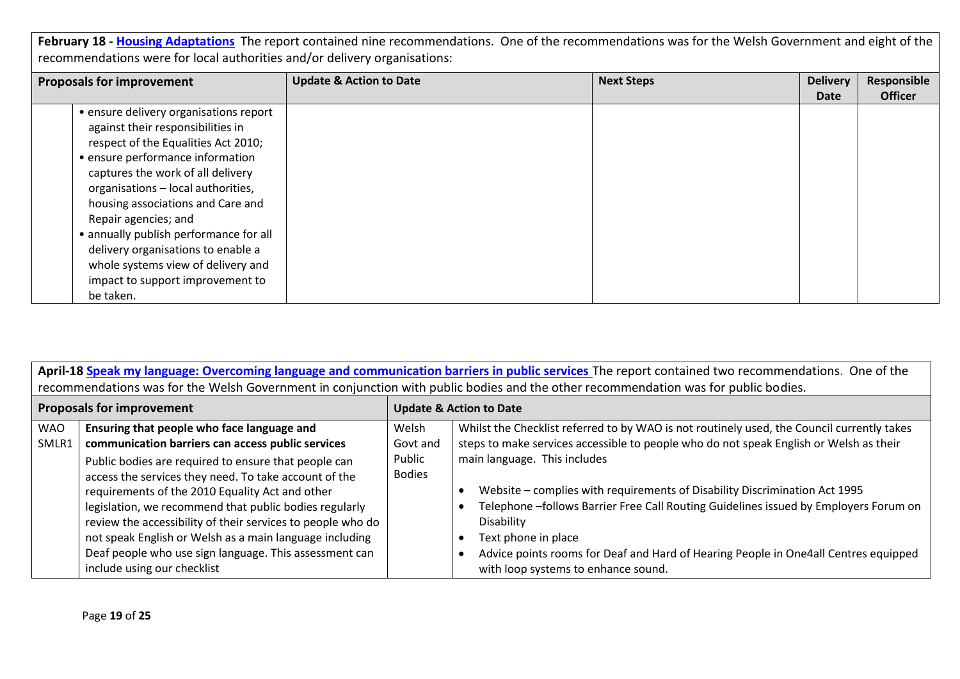| <b>Proposals for improvement</b> |                                        | <b>Update &amp; Action to Date</b> | <b>Next Steps</b> | <b>Delivery</b><br>Date | Responsible<br><b>Officer</b> |
|----------------------------------|----------------------------------------|------------------------------------|-------------------|-------------------------|-------------------------------|
|                                  | • ensure delivery organisations report |                                    |                   |                         |                               |
|                                  |                                        |                                    |                   |                         |                               |
|                                  | against their responsibilities in      |                                    |                   |                         |                               |
|                                  | respect of the Equalities Act 2010;    |                                    |                   |                         |                               |
|                                  | • ensure performance information       |                                    |                   |                         |                               |
|                                  | captures the work of all delivery      |                                    |                   |                         |                               |
|                                  | organisations - local authorities,     |                                    |                   |                         |                               |
|                                  | housing associations and Care and      |                                    |                   |                         |                               |
|                                  | Repair agencies; and                   |                                    |                   |                         |                               |
|                                  | • annually publish performance for all |                                    |                   |                         |                               |
|                                  | delivery organisations to enable a     |                                    |                   |                         |                               |
|                                  | whole systems view of delivery and     |                                    |                   |                         |                               |
|                                  | impact to support improvement to       |                                    |                   |                         |                               |
|                                  | be taken.                              |                                    |                   |                         |                               |

| April-18 Speak my language: Overcoming language and communication barriers in public services The report contained two recommendations. One of the<br>recommendations was for the Welsh Government in conjunction with public bodies and the other recommendation was for public bodies. |                                                             |                                    |                                                                                            |  |
|------------------------------------------------------------------------------------------------------------------------------------------------------------------------------------------------------------------------------------------------------------------------------------------|-------------------------------------------------------------|------------------------------------|--------------------------------------------------------------------------------------------|--|
|                                                                                                                                                                                                                                                                                          |                                                             |                                    |                                                                                            |  |
| <b>Proposals for improvement</b>                                                                                                                                                                                                                                                         |                                                             | <b>Update &amp; Action to Date</b> |                                                                                            |  |
| <b>WAO</b>                                                                                                                                                                                                                                                                               | Ensuring that people who face language and                  | Welsh                              | Whilst the Checklist referred to by WAO is not routinely used, the Council currently takes |  |
| SMLR1                                                                                                                                                                                                                                                                                    | communication barriers can access public services           | Govt and                           | steps to make services accessible to people who do not speak English or Welsh as their     |  |
|                                                                                                                                                                                                                                                                                          | Public bodies are required to ensure that people can        | Public                             | main language. This includes                                                               |  |
|                                                                                                                                                                                                                                                                                          | access the services they need. To take account of the       | <b>Bodies</b>                      |                                                                                            |  |
|                                                                                                                                                                                                                                                                                          | requirements of the 2010 Equality Act and other             |                                    | Website - complies with requirements of Disability Discrimination Act 1995                 |  |
|                                                                                                                                                                                                                                                                                          | legislation, we recommend that public bodies regularly      |                                    | Telephone -follows Barrier Free Call Routing Guidelines issued by Employers Forum on       |  |
|                                                                                                                                                                                                                                                                                          | review the accessibility of their services to people who do |                                    | Disability                                                                                 |  |
|                                                                                                                                                                                                                                                                                          | not speak English or Welsh as a main language including     |                                    | Text phone in place                                                                        |  |
|                                                                                                                                                                                                                                                                                          | Deaf people who use sign language. This assessment can      |                                    | Advice points rooms for Deaf and Hard of Hearing People in One4all Centres equipped        |  |
|                                                                                                                                                                                                                                                                                          | include using our checklist                                 |                                    | with loop systems to enhance sound.                                                        |  |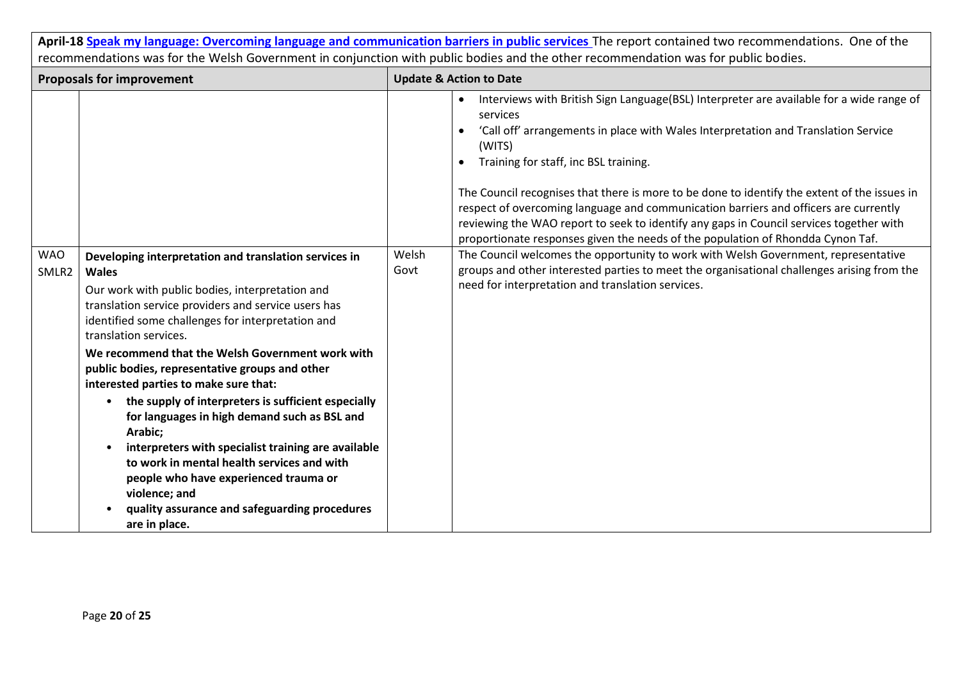|                                                                                                                                    |                                                                                                                                                                                                                                                                                                                                                                                                                                                                                                                                                                                                                                                                                                                                                                              |               | April-18 Speak my language: Overcoming language and communication barriers in public services The report contained two recommendations. One of the                                                                                                                                                                                                                                                                                                                                                                                                                                                                                                                                                                                                                                                                                                                        |
|------------------------------------------------------------------------------------------------------------------------------------|------------------------------------------------------------------------------------------------------------------------------------------------------------------------------------------------------------------------------------------------------------------------------------------------------------------------------------------------------------------------------------------------------------------------------------------------------------------------------------------------------------------------------------------------------------------------------------------------------------------------------------------------------------------------------------------------------------------------------------------------------------------------------|---------------|---------------------------------------------------------------------------------------------------------------------------------------------------------------------------------------------------------------------------------------------------------------------------------------------------------------------------------------------------------------------------------------------------------------------------------------------------------------------------------------------------------------------------------------------------------------------------------------------------------------------------------------------------------------------------------------------------------------------------------------------------------------------------------------------------------------------------------------------------------------------------|
| recommendations was for the Welsh Government in conjunction with public bodies and the other recommendation was for public bodies. |                                                                                                                                                                                                                                                                                                                                                                                                                                                                                                                                                                                                                                                                                                                                                                              |               |                                                                                                                                                                                                                                                                                                                                                                                                                                                                                                                                                                                                                                                                                                                                                                                                                                                                           |
| <b>Proposals for improvement</b>                                                                                                   |                                                                                                                                                                                                                                                                                                                                                                                                                                                                                                                                                                                                                                                                                                                                                                              |               | <b>Update &amp; Action to Date</b>                                                                                                                                                                                                                                                                                                                                                                                                                                                                                                                                                                                                                                                                                                                                                                                                                                        |
| <b>WAO</b><br>SMLR <sub>2</sub>                                                                                                    | Developing interpretation and translation services in<br><b>Wales</b><br>Our work with public bodies, interpretation and<br>translation service providers and service users has<br>identified some challenges for interpretation and<br>translation services.<br>We recommend that the Welsh Government work with<br>public bodies, representative groups and other<br>interested parties to make sure that:<br>the supply of interpreters is sufficient especially<br>$\bullet$<br>for languages in high demand such as BSL and<br>Arabic;<br>interpreters with specialist training are available<br>to work in mental health services and with<br>people who have experienced trauma or<br>violence; and<br>quality assurance and safeguarding procedures<br>are in place. | Welsh<br>Govt | Interviews with British Sign Language(BSL) Interpreter are available for a wide range of<br>services<br>'Call off' arrangements in place with Wales Interpretation and Translation Service<br>(WITS)<br>Training for staff, inc BSL training.<br>$\bullet$<br>The Council recognises that there is more to be done to identify the extent of the issues in<br>respect of overcoming language and communication barriers and officers are currently<br>reviewing the WAO report to seek to identify any gaps in Council services together with<br>proportionate responses given the needs of the population of Rhondda Cynon Taf.<br>The Council welcomes the opportunity to work with Welsh Government, representative<br>groups and other interested parties to meet the organisational challenges arising from the<br>need for interpretation and translation services. |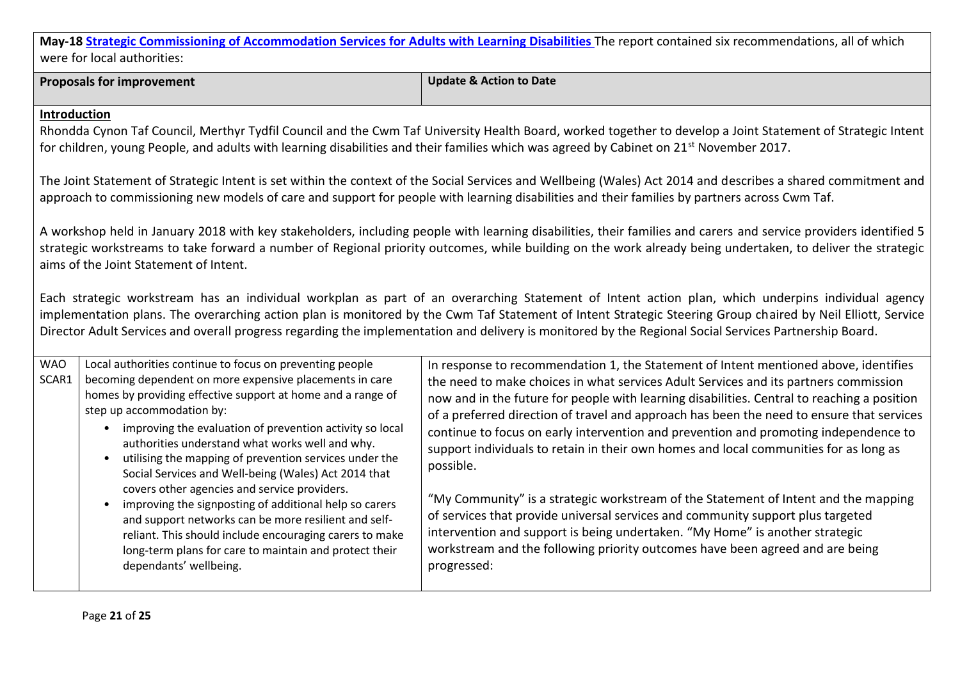**Proposals for improvement Update & Action to Date**

#### **Introduction**

Rhondda Cynon Taf Council, Merthyr Tydfil Council and the Cwm Taf University Health Board, worked together to develop a Joint Statement of Strategic Intent for children, young People, and adults with learning disabilities and their families which was agreed by Cabinet on 21st November 2017.

The Joint Statement of Strategic Intent is set within the context of the Social Services and Wellbeing (Wales) Act 2014 and describes a shared commitment and approach to commissioning new models of care and support for people with learning disabilities and their families by partners across Cwm Taf.

A workshop held in January 2018 with key stakeholders, including people with learning disabilities, their families and carers and service providers identified 5 strategic workstreams to take forward a number of Regional priority outcomes, while building on the work already being undertaken, to deliver the strategic aims of the Joint Statement of Intent.

Each strategic workstream has an individual workplan as part of an overarching Statement of Intent action plan, which underpins individual agency implementation plans. The overarching action plan is monitored by the Cwm Taf Statement of Intent Strategic Steering Group chaired by Neil Elliott, Service Director Adult Services and overall progress regarding the implementation and delivery is monitored by the Regional Social Services Partnership Board.

| <b>WAO</b><br>SCAR1 | Local authorities continue to focus on preventing people<br>becoming dependent on more expensive placements in care<br>homes by providing effective support at home and a range of<br>step up accommodation by:<br>improving the evaluation of prevention activity so local<br>authorities understand what works well and why.<br>utilising the mapping of prevention services under the<br>Social Services and Well-being (Wales) Act 2014 that | In response to recommendation 1, the Statement of Intent mentioned above, identifies<br>the need to make choices in what services Adult Services and its partners commission<br>now and in the future for people with learning disabilities. Central to reaching a position<br>of a preferred direction of travel and approach has been the need to ensure that services<br>continue to focus on early intervention and prevention and promoting independence to<br>support individuals to retain in their own homes and local communities for as long as<br>possible. |
|---------------------|--------------------------------------------------------------------------------------------------------------------------------------------------------------------------------------------------------------------------------------------------------------------------------------------------------------------------------------------------------------------------------------------------------------------------------------------------|------------------------------------------------------------------------------------------------------------------------------------------------------------------------------------------------------------------------------------------------------------------------------------------------------------------------------------------------------------------------------------------------------------------------------------------------------------------------------------------------------------------------------------------------------------------------|
|                     | covers other agencies and service providers.<br>improving the signposting of additional help so carers<br>and support networks can be more resilient and self-<br>reliant. This should include encouraging carers to make<br>long-term plans for care to maintain and protect their<br>dependants' wellbeing.                                                                                                                                    | "My Community" is a strategic workstream of the Statement of Intent and the mapping<br>of services that provide universal services and community support plus targeted<br>intervention and support is being undertaken. "My Home" is another strategic<br>workstream and the following priority outcomes have been agreed and are being<br>progressed:                                                                                                                                                                                                                 |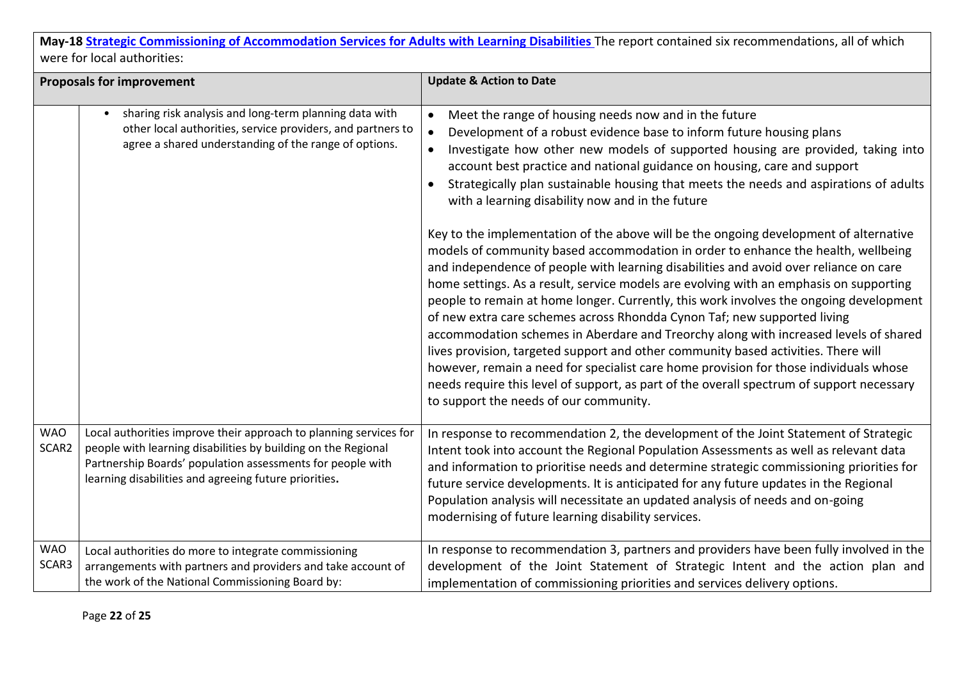| <b>Proposals for improvement</b> |                                                                                                                                                                                                                                                           | <b>Update &amp; Action to Date</b>                                                                                                                                                                                                                                                                                                                                                                                                                                                                                                                                                                                                                                                                                                                                                                                                                                                                                                                                                                                                                                                                                                                                                                                                                                                                                                                                                                                       |
|----------------------------------|-----------------------------------------------------------------------------------------------------------------------------------------------------------------------------------------------------------------------------------------------------------|--------------------------------------------------------------------------------------------------------------------------------------------------------------------------------------------------------------------------------------------------------------------------------------------------------------------------------------------------------------------------------------------------------------------------------------------------------------------------------------------------------------------------------------------------------------------------------------------------------------------------------------------------------------------------------------------------------------------------------------------------------------------------------------------------------------------------------------------------------------------------------------------------------------------------------------------------------------------------------------------------------------------------------------------------------------------------------------------------------------------------------------------------------------------------------------------------------------------------------------------------------------------------------------------------------------------------------------------------------------------------------------------------------------------------|
|                                  | sharing risk analysis and long-term planning data with<br>other local authorities, service providers, and partners to<br>agree a shared understanding of the range of options.                                                                            | Meet the range of housing needs now and in the future<br>$\bullet$<br>Development of a robust evidence base to inform future housing plans<br>$\bullet$<br>Investigate how other new models of supported housing are provided, taking into<br>account best practice and national guidance on housing, care and support<br>Strategically plan sustainable housing that meets the needs and aspirations of adults<br>with a learning disability now and in the future<br>Key to the implementation of the above will be the ongoing development of alternative<br>models of community based accommodation in order to enhance the health, wellbeing<br>and independence of people with learning disabilities and avoid over reliance on care<br>home settings. As a result, service models are evolving with an emphasis on supporting<br>people to remain at home longer. Currently, this work involves the ongoing development<br>of new extra care schemes across Rhondda Cynon Taf; new supported living<br>accommodation schemes in Aberdare and Treorchy along with increased levels of shared<br>lives provision, targeted support and other community based activities. There will<br>however, remain a need for specialist care home provision for those individuals whose<br>needs require this level of support, as part of the overall spectrum of support necessary<br>to support the needs of our community. |
| <b>WAO</b><br>SCAR2              | Local authorities improve their approach to planning services for<br>people with learning disabilities by building on the Regional<br>Partnership Boards' population assessments for people with<br>learning disabilities and agreeing future priorities. | In response to recommendation 2, the development of the Joint Statement of Strategic<br>Intent took into account the Regional Population Assessments as well as relevant data<br>and information to prioritise needs and determine strategic commissioning priorities for<br>future service developments. It is anticipated for any future updates in the Regional<br>Population analysis will necessitate an updated analysis of needs and on-going<br>modernising of future learning disability services.                                                                                                                                                                                                                                                                                                                                                                                                                                                                                                                                                                                                                                                                                                                                                                                                                                                                                                              |
| <b>WAO</b><br>SCAR3              | Local authorities do more to integrate commissioning<br>arrangements with partners and providers and take account of<br>the work of the National Commissioning Board by:                                                                                  | In response to recommendation 3, partners and providers have been fully involved in the<br>development of the Joint Statement of Strategic Intent and the action plan and<br>implementation of commissioning priorities and services delivery options.                                                                                                                                                                                                                                                                                                                                                                                                                                                                                                                                                                                                                                                                                                                                                                                                                                                                                                                                                                                                                                                                                                                                                                   |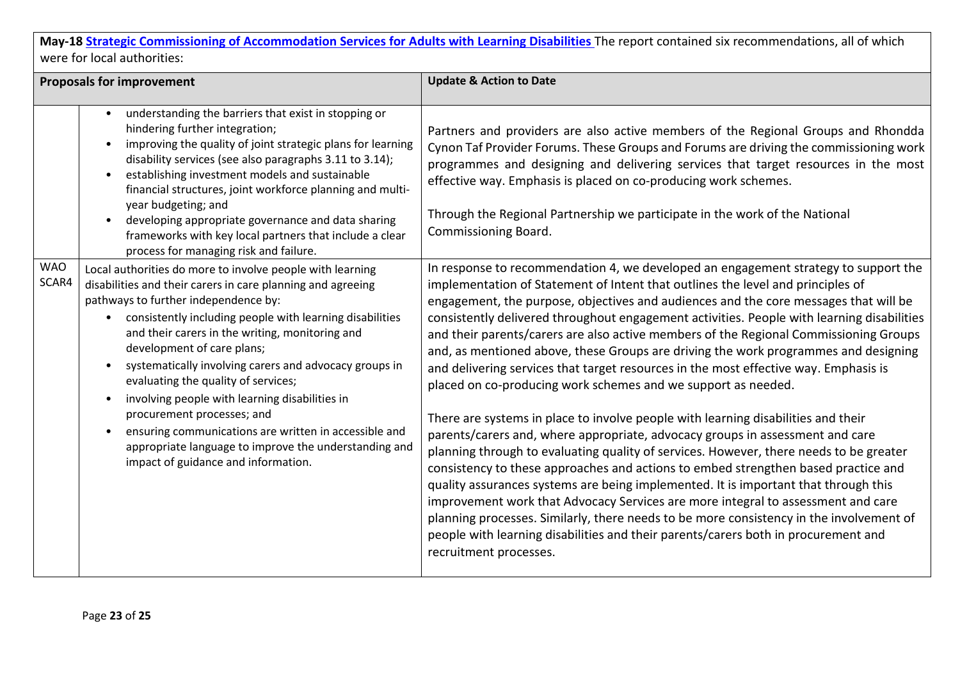| <b>Proposals for improvement</b> |                                                                                                                                                                                                                                                                                                                                                                                                                                                                                                                                                                                                                                                                      | <b>Update &amp; Action to Date</b>                                                                                                                                                                                                                                                                                                                                                                                                                                                                                                                                                                                                                                                                                                                                                                                                                                                                                                                                                                                                                                                                                                                                                                                                                                                                                                                                                                                                                |
|----------------------------------|----------------------------------------------------------------------------------------------------------------------------------------------------------------------------------------------------------------------------------------------------------------------------------------------------------------------------------------------------------------------------------------------------------------------------------------------------------------------------------------------------------------------------------------------------------------------------------------------------------------------------------------------------------------------|---------------------------------------------------------------------------------------------------------------------------------------------------------------------------------------------------------------------------------------------------------------------------------------------------------------------------------------------------------------------------------------------------------------------------------------------------------------------------------------------------------------------------------------------------------------------------------------------------------------------------------------------------------------------------------------------------------------------------------------------------------------------------------------------------------------------------------------------------------------------------------------------------------------------------------------------------------------------------------------------------------------------------------------------------------------------------------------------------------------------------------------------------------------------------------------------------------------------------------------------------------------------------------------------------------------------------------------------------------------------------------------------------------------------------------------------------|
|                                  | understanding the barriers that exist in stopping or<br>hindering further integration;<br>improving the quality of joint strategic plans for learning<br>disability services (see also paragraphs 3.11 to 3.14);<br>establishing investment models and sustainable<br>financial structures, joint workforce planning and multi-<br>year budgeting; and<br>developing appropriate governance and data sharing<br>frameworks with key local partners that include a clear<br>process for managing risk and failure.                                                                                                                                                    | Partners and providers are also active members of the Regional Groups and Rhondda<br>Cynon Taf Provider Forums. These Groups and Forums are driving the commissioning work<br>programmes and designing and delivering services that target resources in the most<br>effective way. Emphasis is placed on co-producing work schemes.<br>Through the Regional Partnership we participate in the work of the National<br>Commissioning Board.                                                                                                                                                                                                                                                                                                                                                                                                                                                                                                                                                                                                                                                                                                                                                                                                                                                                                                                                                                                                        |
| <b>WAO</b><br>SCAR4              | Local authorities do more to involve people with learning<br>disabilities and their carers in care planning and agreeing<br>pathways to further independence by:<br>consistently including people with learning disabilities<br>$\bullet$<br>and their carers in the writing, monitoring and<br>development of care plans;<br>systematically involving carers and advocacy groups in<br>evaluating the quality of services;<br>involving people with learning disabilities in<br>procurement processes; and<br>ensuring communications are written in accessible and<br>appropriate language to improve the understanding and<br>impact of guidance and information. | In response to recommendation 4, we developed an engagement strategy to support the<br>implementation of Statement of Intent that outlines the level and principles of<br>engagement, the purpose, objectives and audiences and the core messages that will be<br>consistently delivered throughout engagement activities. People with learning disabilities<br>and their parents/carers are also active members of the Regional Commissioning Groups<br>and, as mentioned above, these Groups are driving the work programmes and designing<br>and delivering services that target resources in the most effective way. Emphasis is<br>placed on co-producing work schemes and we support as needed.<br>There are systems in place to involve people with learning disabilities and their<br>parents/carers and, where appropriate, advocacy groups in assessment and care<br>planning through to evaluating quality of services. However, there needs to be greater<br>consistency to these approaches and actions to embed strengthen based practice and<br>quality assurances systems are being implemented. It is important that through this<br>improvement work that Advocacy Services are more integral to assessment and care<br>planning processes. Similarly, there needs to be more consistency in the involvement of<br>people with learning disabilities and their parents/carers both in procurement and<br>recruitment processes. |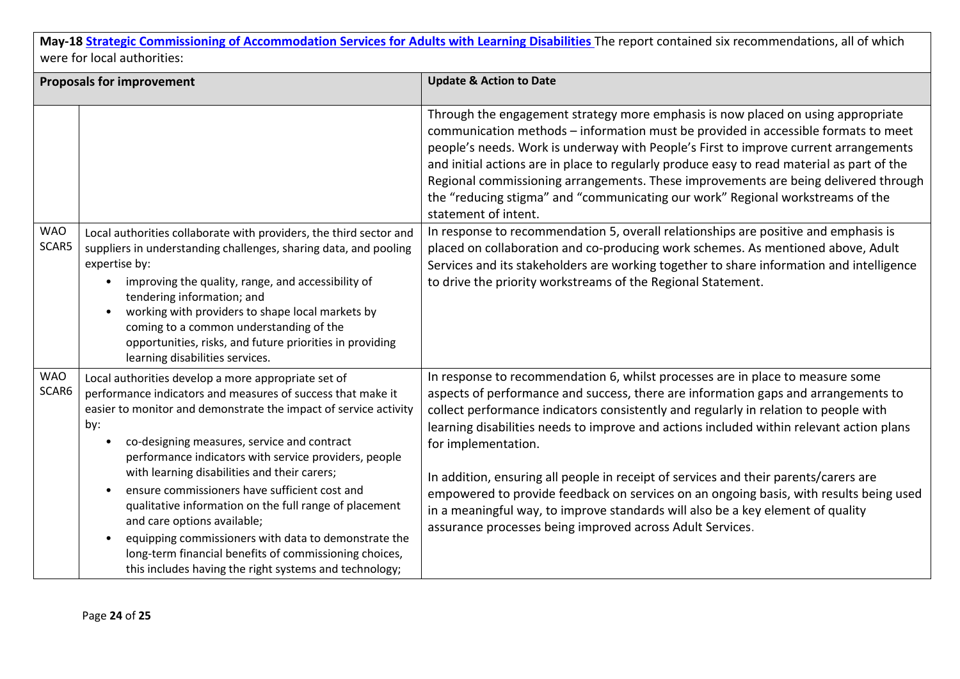| <b>Proposals for improvement</b> |                                                                                                                                                                                                                                                                                                                                                                                                                                                                                                                                                                                                                                                                             | <b>Update &amp; Action to Date</b>                                                                                                                                                                                                                                                                                                                                                                                                                                                                                                                                                                                                                                                                                |
|----------------------------------|-----------------------------------------------------------------------------------------------------------------------------------------------------------------------------------------------------------------------------------------------------------------------------------------------------------------------------------------------------------------------------------------------------------------------------------------------------------------------------------------------------------------------------------------------------------------------------------------------------------------------------------------------------------------------------|-------------------------------------------------------------------------------------------------------------------------------------------------------------------------------------------------------------------------------------------------------------------------------------------------------------------------------------------------------------------------------------------------------------------------------------------------------------------------------------------------------------------------------------------------------------------------------------------------------------------------------------------------------------------------------------------------------------------|
|                                  |                                                                                                                                                                                                                                                                                                                                                                                                                                                                                                                                                                                                                                                                             | Through the engagement strategy more emphasis is now placed on using appropriate<br>communication methods - information must be provided in accessible formats to meet<br>people's needs. Work is underway with People's First to improve current arrangements<br>and initial actions are in place to regularly produce easy to read material as part of the<br>Regional commissioning arrangements. These improvements are being delivered through<br>the "reducing stigma" and "communicating our work" Regional workstreams of the<br>statement of intent.                                                                                                                                                     |
| <b>WAO</b><br>SCAR5              | Local authorities collaborate with providers, the third sector and<br>suppliers in understanding challenges, sharing data, and pooling<br>expertise by:<br>improving the quality, range, and accessibility of<br>tendering information; and<br>working with providers to shape local markets by<br>$\bullet$<br>coming to a common understanding of the<br>opportunities, risks, and future priorities in providing<br>learning disabilities services.                                                                                                                                                                                                                      | In response to recommendation 5, overall relationships are positive and emphasis is<br>placed on collaboration and co-producing work schemes. As mentioned above, Adult<br>Services and its stakeholders are working together to share information and intelligence<br>to drive the priority workstreams of the Regional Statement.                                                                                                                                                                                                                                                                                                                                                                               |
| <b>WAO</b><br>SCAR6              | Local authorities develop a more appropriate set of<br>performance indicators and measures of success that make it<br>easier to monitor and demonstrate the impact of service activity<br>by:<br>co-designing measures, service and contract<br>performance indicators with service providers, people<br>with learning disabilities and their carers;<br>ensure commissioners have sufficient cost and<br>qualitative information on the full range of placement<br>and care options available;<br>equipping commissioners with data to demonstrate the<br>long-term financial benefits of commissioning choices,<br>this includes having the right systems and technology; | In response to recommendation 6, whilst processes are in place to measure some<br>aspects of performance and success, there are information gaps and arrangements to<br>collect performance indicators consistently and regularly in relation to people with<br>learning disabilities needs to improve and actions included within relevant action plans<br>for implementation.<br>In addition, ensuring all people in receipt of services and their parents/carers are<br>empowered to provide feedback on services on an ongoing basis, with results being used<br>in a meaningful way, to improve standards will also be a key element of quality<br>assurance processes being improved across Adult Services. |